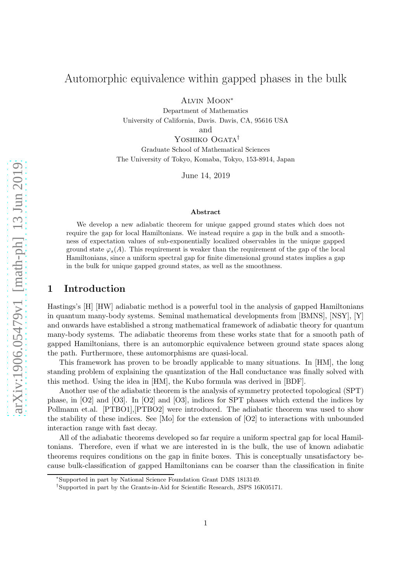# Automorphic equivalence within gapped phases in the bulk

Alvin Moon<sup>∗</sup>

Department of Mathematics University of California, Davis. Davis, CA, 95616 USA

and

YOSHIKO OGATA<sup>†</sup> Graduate School of Mathematical Sciences The University of Tokyo, Komaba, Tokyo, 153-8914, Japan

June 14, 2019

#### Abstract

We develop a new adiabatic theorem for unique gapped ground states which does not require the gap for local Hamiltonians. We instead require a gap in the bulk and a smoothness of expectation values of sub-exponentially localized observables in the unique gapped ground state  $\varphi_s(A)$ . This requirement is weaker than the requirement of the gap of the local Hamiltonians, since a uniform spectral gap for finite dimensional ground states implies a gap in the bulk for unique gapped ground states, as well as the smoothness.

## 1 Introduction

Hastings's [H] [HW] adiabatic method is a powerful tool in the analysis of gapped Hamiltonians in quantum many-body systems. Seminal mathematical developments from [BMNS], [NSY], [Y] and onwards have established a strong mathematical framework of adiabatic theory for quantum many-body systems. The adiabatic theorems from these works state that for a smooth path of gapped Hamiltonians, there is an automorphic equivalence between ground state spaces along the path. Furthermore, these automorphisms are quasi-local.

This framework has proven to be broadly applicable to many situations. In [HM], the long standing problem of explaining the quantization of the Hall conductance was finally solved with this method. Using the idea in [HM], the Kubo formula was derived in [BDF].

Another use of the adiabatic theorem is the analysis of symmetry protected topological (SPT) phase, in [O2] and [O3]. In [O2] and [O3], indices for SPT phases which extend the indices by Pollmann et.al. [PTBO1],[PTBO2] were introduced. The adiabatic theorem was used to show the stability of these indices. See [Mo] for the extension of [O2] to interactions with unbounded interaction range with fast decay.

All of the adiabatic theorems developed so far require a uniform spectral gap for local Hamiltonians. Therefore, even if what we are interested in is the bulk, the use of known adiabatic theorems requires conditions on the gap in finite boxes. This is conceptually unsatisfactory because bulk-classification of gapped Hamiltonians can be coarser than the classification in finite

<sup>∗</sup> Supported in part by National Science Foundation Grant DMS 1813149.

<sup>†</sup> Supported in part by the Grants-in-Aid for Scientific Research, JSPS 16K05171.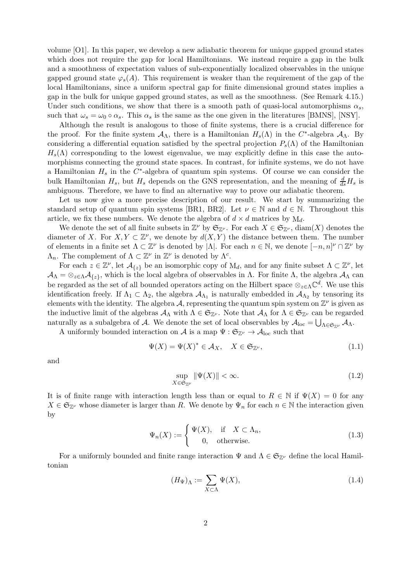volume [O1]. In this paper, we develop a new adiabatic theorem for unique gapped ground states which does not require the gap for local Hamiltonians. We instead require a gap in the bulk and a smoothness of expectation values of sub-exponentially localized observables in the unique gapped ground state  $\varphi_s(A)$ . This requirement is weaker than the requirement of the gap of the local Hamiltonians, since a uniform spectral gap for finite dimensional ground states implies a gap in the bulk for unique gapped ground states, as well as the smoothness. (See Remark 4.15.) Under such conditions, we show that there is a smooth path of quasi-local automorphisms  $\alpha_s$ , such that  $\omega_s = \omega_0 \circ \alpha_s$ . This  $\alpha_s$  is the same as the one given in the literatures [BMNS], [NSY].

Although the result is analogous to those of finite systems, there is a crucial difference for the proof. For the finite system  $A_{\Lambda}$ , there is a Hamiltonian  $H_s(\Lambda)$  in the C<sup>\*</sup>-algebra  $A_{\Lambda}$ . By considering a differential equation satisfied by the spectral projection  $P_s(\Lambda)$  of the Hamiltonian  $H_s(\Lambda)$  corresponding to the lowest eigenvalue, we may explicitly define in this case the automorphisms connecting the ground state spaces. In contrast, for infinite systems, we do not have a Hamiltonian  $H_s$  in the  $C^*$ -algebra of quantum spin systems. Of course we can consider the bulk Hamiltonian  $H_s$ , but  $H_s$  depends on the GNS representation, and the meaning of  $\frac{d}{ds}H_s$  is ambiguous. Therefore, we have to find an alternative way to prove our adiabatic theorem.

Let us now give a more precise description of our result. We start by summarizing the standard setup of quantum spin systems [BR1, BR2]. Let  $\nu \in \mathbb{N}$  and  $d \in \mathbb{N}$ . Throughout this article, we fix these numbers. We denote the algebra of  $d \times d$  matrices by  $M_d$ .

We denote the set of all finite subsets in  $\mathbb{Z}^{\nu}$  by  $\mathfrak{S}_{\mathbb{Z}^{\nu}}$ . For each  $X \in \mathfrak{S}_{\mathbb{Z}^{\nu}}$ , diam(X) denotes the diameter of X. For  $X, Y \subset \mathbb{Z}^{\nu}$ , we denote by  $d(X, Y)$  the distance between them. The number of elements in a finite set  $\Lambda \subset \mathbb{Z}^{\nu}$  is denoted by  $|\Lambda|$ . For each  $n \in \mathbb{N}$ , we denote  $[-n, n]^{\nu} \cap \mathbb{Z}^{\nu}$  by  $\Lambda_n$ . The complement of  $\Lambda \subset \mathbb{Z}^{\nu}$  in  $\mathbb{Z}^{\nu}$  is denoted by  $\Lambda^c$ .

For each  $z \in \mathbb{Z}^{\nu}$ , let  $\mathcal{A}_{\{z\}}$  be an isomorphic copy of  $M_d$ , and for any finite subset  $\Lambda \subset \mathbb{Z}^{\nu}$ , let  $A_{\Lambda} = \otimes_{z \in \Lambda} A_{\{z\}}$ , which is the local algebra of observables in  $\Lambda$ . For finite  $\Lambda$ , the algebra  $A_{\Lambda}$  can be regarded as the set of all bounded operators acting on the Hilbert space  $\otimes_{z\in\Lambda}\mathbb{C}^d$ . We use this identification freely. If  $\Lambda_1 \subset \Lambda_2$ , the algebra  $\mathcal{A}_{\Lambda_1}$  is naturally embedded in  $\mathcal{A}_{\Lambda_2}$  by tensoring its elements with the identity. The algebra A, representing the quantum spin system on  $\mathbb{Z}^{\nu}$  is given as the inductive limit of the algebras  $\mathcal{A}_{\Lambda}$  with  $\Lambda \in \mathfrak{S}_{\mathbb{Z}^{\nu}}$ . Note that  $\mathcal{A}_{\Lambda}$  for  $\Lambda \in \mathfrak{S}_{\mathbb{Z}^{\nu}}$  can be regarded naturally as a subalgebra of A. We denote the set of local observables by  $\mathcal{A}_{loc} = \bigcup_{\Lambda \in \mathfrak{S}_{\mathbb{Z}^\nu}} \mathcal{A}_\Lambda$ .

A uniformly bounded interaction on  $\mathcal A$  is a map  $\Psi:\mathfrak{S}_{\mathbb Z^{\nu}}\to \mathcal A_{\mathrm{loc}}$  such that

$$
\Psi(X) = \Psi(X)^* \in \mathcal{A}_X, \quad X \in \mathfrak{S}_{\mathbb{Z}^\nu},\tag{1.1}
$$

and

$$
\sup_{X \in \mathfrak{S}_{\mathbb{Z}^{\nu}}} \|\Psi(X)\| < \infty. \tag{1.2}
$$

It is of finite range with interaction length less than or equal to  $R \in \mathbb{N}$  if  $\Psi(X) = 0$  for any  $X \in \mathfrak{S}_{\mathbb{Z}^{\nu}}$  whose diameter is larger than R. We denote by  $\Psi_n$  for each  $n \in \mathbb{N}$  the interaction given by

$$
\Psi_n(X) := \begin{cases} \Psi(X), & \text{if } X \subset \Lambda_n, \\ 0, & \text{otherwise.} \end{cases}
$$
\n(1.3)

For a uniformly bounded and finite range interaction  $\Psi$  and  $\Lambda \in \mathfrak{S}_{\mathbb{Z}^{\nu}}$  define the local Hamiltonian

$$
(H_{\Psi})_{\Lambda} := \sum_{X \subset \Lambda} \Psi(X),\tag{1.4}
$$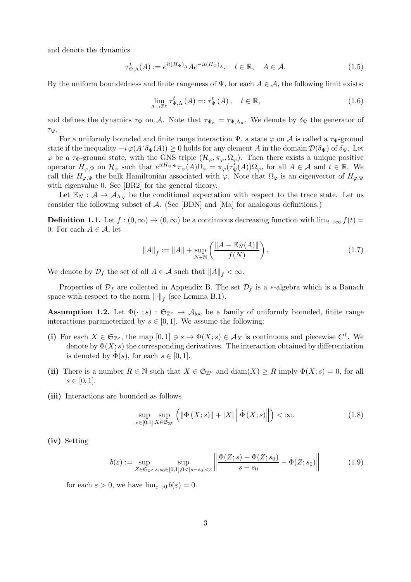and denote the dynamics

$$
\tau_{\Psi,\Lambda}^t(A) := e^{it(H_{\Psi})_\Lambda} A e^{-it(H_{\Psi})_\Lambda}, \quad t \in \mathbb{R}, \quad A \in \mathcal{A}.
$$
 (1.5)

By the uniform boundedness and finite rangeness of  $\Psi$ , for each  $A \in \mathcal{A}$ , the following limit exists:

$$
\lim_{\Lambda \to \mathbb{Z}^{\nu}} \tau_{\Psi,\Lambda}^{t}(A) =: \tau_{\Psi}^{t}(A), \quad t \in \mathbb{R}, \tag{1.6}
$$

and defines the dynamics  $\tau_{\Psi}$  on A. Note that  $\tau_{\Psi_n} = \tau_{\Psi,\Lambda_n}$ . We denote by  $\delta_{\Psi}$  the generator of  $\tau_\Psi$ .

For a uniformly bounded and finite range interaction  $\Psi$ , a state  $\varphi$  on A is called a  $\tau_{\Psi}$ -ground state if the inequality  $-i\varphi(A^*\delta_{\Psi}(A))\geq 0$  holds for any element A in the domain  $\mathcal{D}(\delta_{\Psi})$  of  $\delta_{\Psi}$ . Let  $\varphi$  be a  $\tau_{\Psi}$ -ground state, with the GNS triple  $(\mathcal{H}_{\varphi}, \pi_{\varphi}, \Omega_{\varphi})$ . Then there exists a unique positive operator  $H_{\varphi,\Psi}$  on  $\mathcal{H}_{\varphi}$  such that  $e^{itH_{\varphi,\Psi}}\pi_{\varphi}(A)\Omega_{\varphi} = \pi_{\varphi}(\tau_{\Psi}^{t}(A))\Omega_{\varphi}$ , for all  $A \in \mathcal{A}$  and  $t \in \mathbb{R}$ . We call this  $H_{\varphi,\Psi}$  the bulk Hamiltonian associated with  $\varphi$ . Note that  $\Omega_{\varphi}$  is an eigenvector of  $H_{\varphi,\Psi}$ with eigenvalue 0. See [BR2] for the general theory.

Let  $\mathbb{E}_N : \mathcal{A} \to \mathcal{A}_{\Lambda_N}$  be the conditional expectation with respect to the trace state. Let us consider the following subset of  $A$ . (See [BDN] and [Ma] for analogous definitions.)

**Definition 1.1.** Let  $f : (0, \infty) \to (0, \infty)$  be a continuous decreasing function with  $\lim_{t\to\infty} f(t) =$ 0. For each  $A \in \mathcal{A}$ , let

$$
||A||_f := ||A|| + \sup_{N \in \mathbb{N}} \left( \frac{||A - \mathbb{E}_N(A)||}{f(N)} \right).
$$
 (1.7)

We denote by  $\mathcal{D}_f$  the set of all  $A \in \mathcal{A}$  such that  $||A||_f < \infty$ .

Properties of  $\mathcal{D}_f$  are collected in Appendix B. The set  $\mathcal{D}_f$  is a \*-algebra which is a Banach space with respect to the norm  $\lVert \cdot \rVert_f$  (see Lemma B.1).

**Assumption 1.2.** Let  $\Phi(\cdot; s) : \mathfrak{S}_{\mathbb{Z}^{\nu}} \to \mathcal{A}_{\text{loc}}$  be a family of uniformly bounded, finite range interactions parameterized by  $s \in [0, 1]$ . We assume the following:

- (i) For each  $X \in \mathfrak{S}_{\mathbb{Z}^{\nu}}$ , the map  $[0,1] \ni s \to \Phi(X; s) \in \mathcal{A}_X$  is continuous and piecewise  $C^1$ . We denote by  $\dot{\Phi}(X; s)$  the corresponding derivatives. The interaction obtained by differentiation is denoted by  $\dot{\Phi}(s)$ , for each  $s \in [0, 1]$ .
- (ii) There is a number  $R \in \mathbb{N}$  such that  $X \in \mathfrak{S}_{\mathbb{Z}^{\nu}}$  and  $\text{diam}(X) \geq R$  imply  $\Phi(X; s) = 0$ , for all  $s \in [0, 1].$
- (iii) Interactions are bounded as follows

$$
\sup_{s \in [0,1]} \sup_{X \in \mathfrak{S}_{\mathbb{Z}^\nu}} \left( \left\| \Phi\left(X; s\right) \right\| + \left| X \right| \left\| \dot{\Phi}\left(X; s\right) \right\| \right) < \infty. \tag{1.8}
$$

(iv) Setting

$$
b(\varepsilon) := \sup_{Z \in \mathfrak{S}_{\mathbb{Z}^{\nu}} \ s, s_0 \in [0,1], 0 < |s - s_0| < \varepsilon} \left\| \frac{\Phi(Z; s) - \Phi(Z; s_0)}{s - s_0} - \dot{\Phi}(Z; s_0) \right\| \tag{1.9}
$$

for each  $\varepsilon > 0$ , we have  $\lim_{\varepsilon \to 0} b(\varepsilon) = 0$ .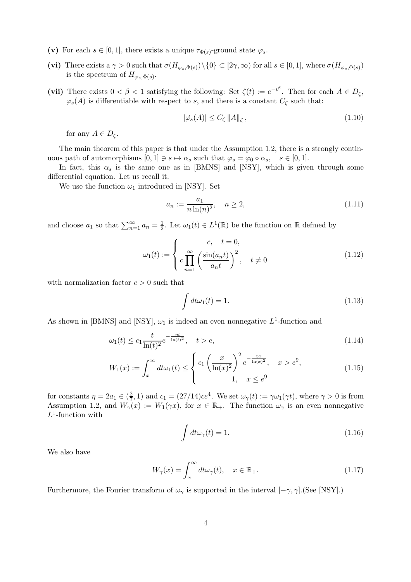- (v) For each  $s \in [0,1]$ , there exists a unique  $\tau_{\Phi(s)}$ -ground state  $\varphi_s$ .
- (vi) There exists a  $\gamma > 0$  such that  $\sigma(H_{\varphi_s, \Phi(s)}) \setminus \{0\} \subset [2\gamma, \infty)$  for all  $s \in [0, 1]$ , where  $\sigma(H_{\varphi_s, \Phi(s)})$ is the spectrum of  $H_{\varphi_s, \Phi(s)}$ .
- (vii) There exists  $0 < \beta < 1$  satisfying the following: Set  $\zeta(t) := e^{-t^{\beta}}$ . Then for each  $A \in D_{\zeta}$ ,  $\varphi_s(A)$  is differentiable with respect to s, and there is a constant  $C_{\zeta}$  such that:

$$
|\dot{\varphi_s}(A)| \le C_\zeta \|A\|_\zeta \,,\tag{1.10}
$$

for any  $A \in D_{\zeta}$ .

The main theorem of this paper is that under the Assumption 1.2, there is a strongly continuous path of automorphisms  $[0, 1] \ni s \mapsto \alpha_s$  such that  $\varphi_s = \varphi_0 \circ \alpha_s, \quad s \in [0, 1].$ 

In fact, this  $\alpha_s$  is the same one as in [BMNS] and [NSY], which is given through some differential equation. Let us recall it.

We use the function  $\omega_1$  introduced in [NSY]. Set

$$
a_n := \frac{a_1}{n \ln(n)^2}, \quad n \ge 2,
$$
\n(1.11)

and choose  $a_1$  so that  $\sum_{n=1}^{\infty} a_n = \frac{1}{2}$  $\frac{1}{2}$ . Let  $\omega_1(t) \in L^1(\mathbb{R})$  be the function on  $\mathbb R$  defined by

$$
\omega_1(t) := \begin{cases}\nc, & t = 0, \\
c \prod_{n=1}^{\infty} \left(\frac{\sin(a_n t)}{a_n t}\right)^2, & t \neq 0\n\end{cases}
$$
\n(1.12)

with normalization factor  $c > 0$  such that

$$
\int dt \omega_1(t) = 1. \tag{1.13}
$$

As shown in [BMNS] and [NSY],  $\omega_1$  is indeed an even nonnegative  $L^1$ -function and

$$
\omega_1(t) \le c_1 \frac{t}{\ln(t)^2} e^{-\frac{\eta t}{\ln(t)^2}}, \quad t > e,
$$
\n(1.14)

$$
W_1(x) := \int_x^{\infty} dt \omega_1(t) \le \begin{cases} c_1 \left(\frac{x}{\ln(x)^2}\right)^2 e^{-\frac{\eta x}{\ln(x)^2}}, & x > e^9, \\ 1, & x \le e^9 \end{cases}
$$
(1.15)

for constants  $\eta = 2a_1 \in (\frac{2}{7})$  $(\frac{2}{7}, 1)$  and  $c_1 = (27/14)ce^4$ . We set  $\omega_{\gamma}(t) := \gamma \omega_1(\gamma t)$ , where  $\gamma > 0$  is from Assumption 1.2, and  $W_{\gamma}(x) := W_1(\gamma x)$ , for  $x \in \mathbb{R}_+$ . The function  $\omega_{\gamma}$  is an even nonnegative  $L^1$ -function with

$$
\int dt \omega_{\gamma}(t) = 1. \tag{1.16}
$$

We also have

$$
W_{\gamma}(x) = \int_{x}^{\infty} dt \omega_{\gamma}(t), \quad x \in \mathbb{R}_{+}.
$$
 (1.17)

Furthermore, the Fourier transform of  $\omega_{\gamma}$  is supported in the interval  $[-\gamma, \gamma]$ .(See [NSY].)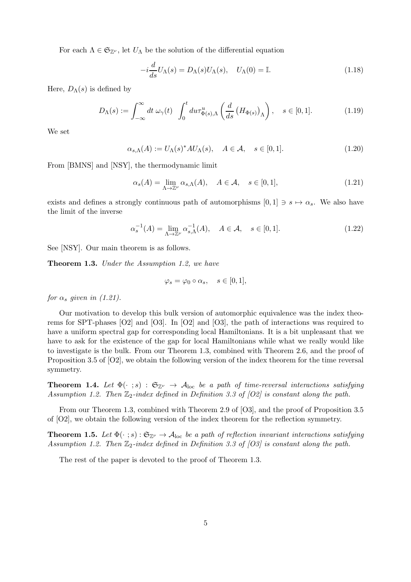For each  $\Lambda \in \mathfrak{S}_{\mathbb{Z}^{\nu}}$ , let  $U_{\Lambda}$  be the solution of the differential equation

$$
-i\frac{d}{ds}U_{\Lambda}(s) = D_{\Lambda}(s)U_{\Lambda}(s), \quad U_{\Lambda}(0) = \mathbb{I}.
$$
\n(1.18)

Here,  $D_{\Lambda}(s)$  is defined by

$$
D_{\Lambda}(s) := \int_{-\infty}^{\infty} dt \, \omega_{\gamma}(t) \, \int_{0}^{t} du \tau_{\Phi(s),\Lambda}^{u} \left(\frac{d}{ds} \left(H_{\Phi(s)}\right)_{\Lambda}\right), \quad s \in [0,1]. \tag{1.19}
$$

We set

$$
\alpha_{s,\Lambda}(A) := U_{\Lambda}(s)^{*}AU_{\Lambda}(s), \quad A \in \mathcal{A}, \quad s \in [0,1].
$$
\n(1.20)

From [BMNS] and [NSY], the thermodynamic limit

$$
\alpha_s(A) = \lim_{\Lambda \to \mathbb{Z}^\nu} \alpha_{s,\Lambda}(A), \quad A \in \mathcal{A}, \quad s \in [0,1], \tag{1.21}
$$

exists and defines a strongly continuous path of automorphisms  $[0, 1] \ni s \mapsto \alpha_s$ . We also have the limit of the inverse

$$
\alpha_s^{-1}(A) = \lim_{\Lambda \to \mathbb{Z}^\nu} \alpha_{s,\Lambda}^{-1}(A), \quad A \in \mathcal{A}, \quad s \in [0,1]. \tag{1.22}
$$

See [NSY]. Our main theorem is as follows.

Theorem 1.3. Under the Assumption 1.2, we have

$$
\varphi_s = \varphi_0 \circ \alpha_s, \quad s \in [0, 1],
$$

for  $\alpha_s$  given in (1.21).

Our motivation to develop this bulk version of automorphic equivalence was the index theorems for SPT-phases [O2] and [O3]. In [O2] and [O3], the path of interactions was required to have a uniform spectral gap for corresponding local Hamiltonians. It is a bit unpleasant that we have to ask for the existence of the gap for local Hamiltonians while what we really would like to investigate is the bulk. From our Theorem 1.3, combined with Theorem 2.6, and the proof of Proposition 3.5 of [O2], we obtain the following version of the index theorem for the time reversal symmetry.

**Theorem 1.4.** Let  $\Phi(\cdot; s) : \mathfrak{S}_{\mathbb{Z}^{\nu}} \to \mathcal{A}_{loc}$  be a path of time-reversal interactions satisfying Assumption 1.2. Then  $\mathbb{Z}_2$ -index defined in Definition 3.3 of  $[O2]$  is constant along the path.

From our Theorem 1.3, combined with Theorem 2.9 of [O3], and the proof of Proposition 3.5 of [O2], we obtain the following version of the index theorem for the reflection symmetry.

**Theorem 1.5.** Let  $\Phi(\cdot; s): \mathfrak{S}_{\mathbb{Z}^{\nu}} \to \mathcal{A}_{\text{loc}}$  be a path of reflection invariant interactions satisfying Assumption 1.2. Then  $\mathbb{Z}_2$ -index defined in Definition 3.3 of [O3] is constant along the path.

The rest of the paper is devoted to the proof of Theorem 1.3.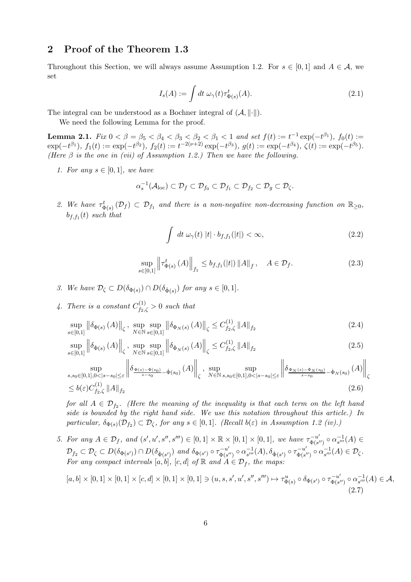## 2 Proof of the Theorem 1.3

Throughout this Section, we will always assume Assumption 1.2. For  $s \in [0,1]$  and  $A \in \mathcal{A}$ , we set

$$
I_s(A) := \int dt \,\omega_\gamma(t) \tau^t_{\Phi(s)}(A). \tag{2.1}
$$

The integral can be understood as a Bochner integral of  $(A, \|\cdot\|)$ .

We need the following Lemma for the proof.

Lemma 2.1.  $Fix\ 0 < \beta = \beta_5 < \beta_4 < \beta_3 < \beta_2 < \beta_1 < 1$  and set  $f(t) := t^{-1} \exp(-t^{\beta_1}),\ f_0(t) :=$  $\exp(-t^{\beta_1}), f_1(t) := \exp(-t^{\beta_2}), f_2(t) := t^{-2(\nu+2)} \exp(-t^{\beta_3}), g(t) := \exp(-t^{\beta_4}), \zeta(t) := \exp(-t^{\beta_5}).$ (Here  $\beta$  is the one in (vii) of Assumption 1.2.) Then we have the following.

1. For any  $s \in [0,1]$ , we have

$$
\alpha_s^{-1}(\mathcal{A}_{loc}) \subset \mathcal{D}_f \subset \mathcal{D}_{f_0} \subset \mathcal{D}_{f_1} \subset \mathcal{D}_{f_2} \subset \mathcal{D}_g \subset \mathcal{D}_{\zeta}.
$$

2. We have  $\tau_{\Phi(s)}^t(\mathcal{D}_f) \subset \mathcal{D}_{f_1}$  and there is a non-negative non-decreasing function on  $\mathbb{R}_{\geq 0}$ ,  $b_{f, f_1}(t)$  such that

$$
\int dt \,\omega_{\gamma}(t) \,|t| \cdot b_{f,f_1}(|t|) < \infty,\tag{2.2}
$$

$$
\sup_{s \in [0,1]} \left\| \tau_{\Phi(s)}^t(A) \right\|_{f_1} \le b_{f,f_1}(|t|) \|A\|_f, \quad A \in \mathcal{D}_f. \tag{2.3}
$$

- 3. We have  $\mathcal{D}_{\zeta} \subset D(\delta_{\Phi(s)}) \cap D(\delta_{\dot{\Phi}(s)})$  for any  $s \in [0,1]$ .
- 4. There is a constant  $C^{(1)}_{f_2,\zeta} > 0$  such that

$$
\sup_{s \in [0,1]} \left\| \delta_{\Phi(s)} \left( A \right) \right\|_{\zeta}, \sup_{N \in \mathbb{N}} \sup_{s \in [0,1]} \left\| \delta_{\Phi_N(s)} \left( A \right) \right\|_{\zeta} \le C_{f_2,\zeta}^{(1)} \left\| A \right\|_{f_2} \tag{2.4}
$$

$$
\sup_{s\in[0,1]} \left\| \delta_{\dot{\Phi}(s)}\left(A\right) \right\|_{\zeta}, \sup_{N\in\mathbb{N}} \sup_{s\in[0,1]} \left\| \delta_{\dot{\Phi}_{N}(s)}\left(A\right) \right\|_{\zeta} \leq C_{f_2,\zeta}^{(1)} \left\| A \right\|_{f_2}
$$
\n
$$
\sup \left\| \delta_{\Phi(s)-\Phi(s_0)} \left( A \right) \right\|, \sup \sup \left\| \delta_{\Phi_{N}(s)-\Phi_{N}(s_0)} \left( A \right) \right\|
$$
\n
$$
(2.5)
$$

$$
\sup_{s,s_0 \in [0,1],0 < |s-s_0| \le \varepsilon} \left\| \delta_{\frac{\Phi(s) - \Phi(s_0)}{s-s_0}} - \dot{\Phi}(s_0)}(A) \right\|_{\zeta}, \sup_{N \in \mathbb{N}} \sup_{s,s_0 \in [0,1],0 < |s-s_0| \le \varepsilon} \left\| \delta_{\frac{\Phi_N(s) - \Phi_N(s_0)}{s-s_0}} - \dot{\Phi}_N(s_0)}(A) \right\|_{\zeta}
$$
\n
$$
\le b(\varepsilon)C_{f_2,\zeta}^{(1)} \|A\|_{f_2} \tag{2.6}
$$

for all  $A \in \mathcal{D}_{f_2}$ . (Here the meaning of the inequality is that each term on the left hand side is bounded by the right hand side. We use this notation throughout this article.) In particular,  $\delta_{\Phi(s)}(\mathcal{D}_{f_2}) \subset \mathcal{D}_{\zeta}$ , for any  $s \in [0,1]$ . (Recall  $b(\varepsilon)$  in Assumption 1.2 (iv).)

5. For any  $A \in \mathcal{D}_f$ , and  $(s', u', s'', s''') \in [0, 1] \times \mathbb{R} \times [0, 1] \times [0, 1]$ , we have  $\tau_{\Phi(s)}^{-u'}$  $\frac{1}{\Phi(s'')} \circ \alpha_{s'''}^{-1}$  $_{s'''}^{-1}(A) \in$  $\mathcal{D}_{f_2} \subset \mathcal{D}_{\zeta} \subset D(\delta_{\Phi(s')}) \cap D(\delta_{\dot{\Phi}(s')})$  and  $\delta_{\Phi(s')} \circ \tau_{\Phi(s')}^{-u'}$  $\frac{1}{\Phi(s'')} \circ \alpha_{s'''}^{-1}$  $\tau_{s'''}^{-1}(A), \delta_{\dot{\Phi}(s')} \circ \tau_{\Phi(s')}^{-u'}$  $\frac{1}{\Phi(s'')} \circ \alpha_{s'''}^{-1}$  $_{s^{\prime\prime\prime}}^{-1}(A)\in\mathcal{D}_{\zeta}.$ For any compact intervals  $[a, b]$ ,  $[c, d]$  of  $\mathbb R$  and  $A \in \mathcal D_f$ , the maps:

$$
[a,b] \times [0,1] \times [0,1] \times [c,d] \times [0,1] \times [0,1] \ni (u,s,s',u',s'',s''') \mapsto \tau_{\Phi(s)}^u \circ \delta_{\Phi(s')} \circ \tau_{\Phi(s'')}^{-u'} \circ \alpha_{s'''}^{-1}(A) \in \mathcal{A},
$$
\n(2.7)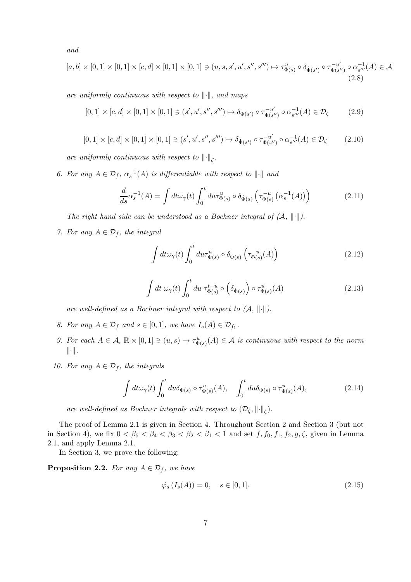and

$$
[a,b] \times [0,1] \times [0,1] \times [c,d] \times [0,1] \times [0,1] \ni (u,s,s',u',s'',s''') \mapsto \tau_{\Phi(s)}^u \circ \delta_{\Phi(s')} \circ \tau_{\Phi(s'')}^{-u'} \circ \alpha_{s''}^{-1}(A) \in \mathcal{A}
$$
\n(2.8)

are uniformly continuous with respect to  $\Vert \cdot \Vert$ , and maps

$$
[0,1] \times [c,d] \times [0,1] \times [0,1] \ni (s',u',s'',s''') \mapsto \delta_{\Phi(s')} \circ \tau_{\Phi(s'')}^{-u'} \circ \alpha_{s'''}^{-1}(A) \in \mathcal{D}_{\zeta}
$$
(2.9)

$$
[0,1] \times [c,d] \times [0,1] \times [0,1] \ni (s',u',s'',s''') \mapsto \delta_{\dot{\Phi}(s')} \circ \tau_{\Phi(s'')}^{-u'} \circ \alpha_{s'''}^{-1}(A) \in \mathcal{D}_{\zeta}
$$
(2.10)

are uniformly continuous with respect to  $\left\|\cdot\right\|_{\zeta}$ .

6. For any  $A \in \mathcal{D}_f$ ,  $\alpha_s^{-1}(A)$  is differentiable with respect to  $\|\cdot\|$  and

$$
\frac{d}{ds}\alpha_s^{-1}(A) = \int dt \omega_\gamma(t) \int_0^t du \tau_{\Phi(s)}^u \circ \delta_{\dot{\Phi}(s)} \left( \tau_{\Phi(s)}^{-u} \left( \alpha_s^{-1}(A) \right) \right) \tag{2.11}
$$

The right hand side can be understood as a Bochner integral of  $(A, \|\cdot\|)$ .

7. For any  $A \in \mathcal{D}_f$ , the integral

$$
\int dt \omega_{\gamma}(t) \int_0^t du \tau_{\Phi(s)}^u \circ \delta_{\dot{\Phi}(s)} \left( \tau_{\Phi(s)}^{-u}(A) \right) \tag{2.12}
$$

$$
\int dt \,\,\omega_{\gamma}(t) \int_0^t du \,\,\tau_{\Phi(s)}^{t-u} \circ \left(\delta_{\dot{\Phi}(s)}\right) \circ \tau_{\Phi(s)}^u(A) \tag{2.13}
$$

are well-defined as a Bochner integral with respect to  $(A, \|\cdot\|)$ .

- 8. For any  $A \in \mathcal{D}_f$  and  $s \in [0,1]$ , we have  $I_s(A) \in \mathcal{D}_{f_1}$ .
- 9. For each  $A \in \mathcal{A}$ ,  $\mathbb{R} \times [0,1] \ni (u,s) \to \tau_{\Phi(s)}^u(A) \in \mathcal{A}$  is continuous with respect to the norm  $\|\cdot\|.$
- 10. For any  $A \in \mathcal{D}_f$ , the integrals

$$
\int dt \omega_{\gamma}(t) \int_0^t du \delta_{\Phi(s)} \circ \tau_{\Phi(s)}^u(A), \quad \int_0^t du \delta_{\Phi(s)} \circ \tau_{\Phi(s)}^u(A), \tag{2.14}
$$

are well-defined as Bochner integrals with respect to  $(\mathcal{D}_{\zeta}, \|\cdot\|_{\zeta})$ .

The proof of Lemma 2.1 is given in Section 4. Throughout Section 2 and Section 3 (but not in Section 4), we fix  $0 < \beta_5 < \beta_4 < \beta_3 < \beta_2 < \beta_1 < 1$  and set  $f, f_0, f_1, f_2, g, \zeta$ , given in Lemma 2.1, and apply Lemma 2.1.

In Section 3, we prove the following:

**Proposition 2.2.** For any  $A \in \mathcal{D}_f$ , we have

$$
\dot{\varphi}_s(I_s(A)) = 0, \quad s \in [0, 1]. \tag{2.15}
$$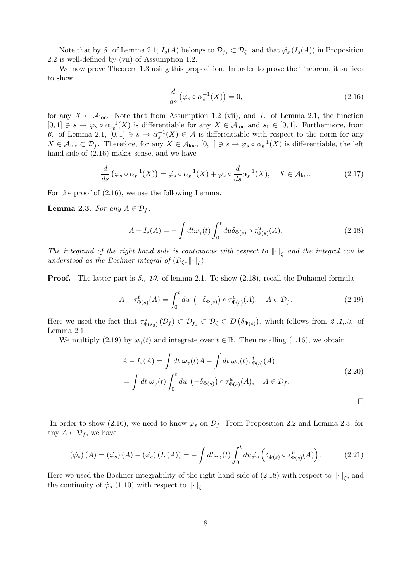Note that by 8. of Lemma 2.1,  $I_s(A)$  belongs to  $\mathcal{D}_{f_1} \subset \mathcal{D}_{\zeta}$ , and that  $\dot{\varphi}_s(I_s(A))$  in Proposition 2.2 is well-defined by (vii) of Assumption 1.2.

We now prove Theorem 1.3 using this proposition. In order to prove the Theorem, it suffices to show

$$
\frac{d}{ds}\left(\varphi_s \circ \alpha_s^{-1}(X)\right) = 0,\tag{2.16}
$$

for any  $X \in \mathcal{A}_{loc}$ . Note that from Assumption 1.2 (vii), and 1. of Lemma 2.1, the function  $[0,1] \ni s \to \varphi_s \circ \alpha_{s_0}^{-1}(X)$  is differentiable for any  $X \in \mathcal{A}_{loc}$  and  $s_0 \in [0,1]$ . Furthermore, from 6. of Lemma 2.1,  $[0,1] \ni s \mapsto \alpha_s^{-1}(X) \in \mathcal{A}$  is differentiable with respect to the norm for any  $X \in \mathcal{A}_{loc} \subset \mathcal{D}_f$ . Therefore, for any  $X \in \mathcal{A}_{loc}$ ,  $[0,1] \ni s \to \varphi_s \circ \alpha_s^{-1}(X)$  is differentiable, the left hand side of (2.16) makes sense, and we have

$$
\frac{d}{ds}\left(\varphi_s \circ \alpha_s^{-1}(X)\right) = \dot{\varphi}_s \circ \alpha_s^{-1}(X) + \varphi_s \circ \frac{d}{ds}\alpha_s^{-1}(X), \quad X \in \mathcal{A}_{\text{loc}}.\tag{2.17}
$$

For the proof of (2.16), we use the following Lemma.

**Lemma 2.3.** For any  $A \in \mathcal{D}_f$ ,

$$
A - I_s(A) = -\int dt \omega_{\gamma}(t) \int_0^t du \delta_{\Phi(s)} \circ \tau_{\Phi(s)}^u(A). \tag{2.18}
$$

The integrand of the right hand side is continuous with respect to  $\left\|\cdot\right\|_{\zeta}$  and the integral can be understood as the Bochner integral of  $(\mathcal{D}_{\zeta}, \lVert \cdot \rVert_{\zeta})$ .

Proof. The latter part is 5., 10. of lemma 2.1. To show (2.18), recall the Duhamel formula

$$
A - \tau_{\Phi(s)}^t(A) = \int_0^t du \, \left( -\delta_{\Phi(s)} \right) \circ \tau_{\Phi(s)}^u(A), \quad A \in \mathcal{D}_f. \tag{2.19}
$$

Here we used the fact that  $\tau_{\Phi(s_0)}^u(\mathcal{D}_f) \subset \mathcal{D}_{f_1} \subset \mathcal{D}_{\zeta} \subset D(\delta_{\Phi(s)})$ , which follows from  $2,1,3$ . of Lemma 2.1.

We multiply (2.19) by  $\omega_{\gamma}(t)$  and integrate over  $t \in \mathbb{R}$ . Then recalling (1.16), we obtain

$$
A - I_s(A) = \int dt \,\omega_\gamma(t)A - \int dt \,\omega_\gamma(t)\tau_{\Phi(s)}^t(A)
$$
  
= 
$$
\int dt \,\omega_\gamma(t) \int_0^t du \, \left(-\delta_{\Phi(s)}\right) \circ \tau_{\Phi(s)}^u(A), \quad A \in \mathcal{D}_f.
$$
 (2.20)

In order to show (2.16), we need to know  $\dot{\varphi}_s$  on  $\mathcal{D}_f$ . From Proposition 2.2 and Lemma 2.3, for any  $A \in \mathcal{D}_f$ , we have

$$
(\dot{\varphi}_s)(A) = (\dot{\varphi}_s)(A) - (\dot{\varphi}_s)(I_s(A)) = -\int dt \omega_{\gamma}(t) \int_0^t du \dot{\varphi}_s \left(\delta_{\Phi(s)} \circ \tau_{\Phi(s)}^u(A)\right).
$$
 (2.21)

Here we used the Bochner integrability of the right hand side of  $(2.18)$  with respect to  $\lVert \cdot \rVert_{\zeta}$ , and the continuity of  $\dot{\varphi}_s$  (1.10) with respect to  $\lVert \cdot \rVert_{\zeta}$ .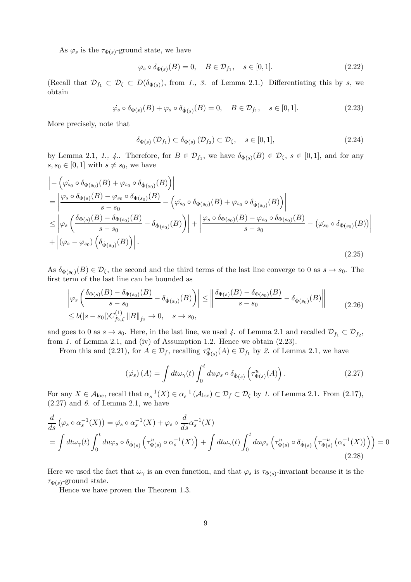As  $\varphi_s$  is the  $\tau_{\Phi(s)}$ -ground state, we have

$$
\varphi_s \circ \delta_{\Phi(s)}(B) = 0, \quad B \in \mathcal{D}_{f_1}, \quad s \in [0, 1]. \tag{2.22}
$$

(Recall that  $\mathcal{D}_{f_1} \subset \mathcal{D}_{\zeta} \subset D(\delta_{\Phi(s)})$ , from 1., 3. of Lemma 2.1.) Differentiating this by s, we obtain

$$
\dot{\varphi}_s \circ \delta_{\Phi(s)}(B) + \varphi_s \circ \delta_{\dot{\Phi}(s)}(B) = 0, \quad B \in \mathcal{D}_{f_1}, \quad s \in [0, 1]. \tag{2.23}
$$

More precisely, note that

$$
\delta_{\Phi(s)}\left(\mathcal{D}_{f_1}\right) \subset \delta_{\Phi(s)}\left(\mathcal{D}_{f_2}\right) \subset \mathcal{D}_{\zeta}, \quad s \in [0,1],\tag{2.24}
$$

by Lemma 2.1, 1., 4.. Therefore, for  $B \in \mathcal{D}_{f_1}$ , we have  $\delta_{\Phi(s)}(B) \in \mathcal{D}_{\zeta}$ ,  $s \in [0,1]$ , and for any  $s, s_0 \in [0, 1]$  with  $s \neq s_0$ , we have

$$
\begin{split}\n&\left| -\left( \varphi_{s_{0}} \circ \delta_{\Phi(s_{0})}(B) + \varphi_{s_{0}} \circ \delta_{\dot{\Phi}(s_{0})}(B) \right) \right| \\
&= \left| \frac{\varphi_{s} \circ \delta_{\Phi(s)}(B) - \varphi_{s_{0}} \circ \delta_{\Phi(s_{0})}(B)}{s - s_{0}} - \left( \varphi_{s_{0}} \circ \delta_{\Phi(s_{0})}(B) + \varphi_{s_{0}} \circ \delta_{\dot{\Phi}(s_{0})}(B) \right) \right| \\
&\leq \left| \varphi_{s} \left( \frac{\delta_{\Phi(s)}(B) - \delta_{\Phi(s_{0})}(B)}{s - s_{0}} - \delta_{\dot{\Phi}(s_{0})}(B) \right) \right| + \left| \frac{\varphi_{s} \circ \delta_{\Phi(s_{0})}(B) - \varphi_{s_{0}} \circ \delta_{\Phi(s_{0})}(B)}{s - s_{0}} - \left( \varphi_{s_{0}} \circ \delta_{\Phi(s_{0})}(B) \right) \right| \\
&+ \left| (\varphi_{s} - \varphi_{s_{0}}) \left( \delta_{\dot{\Phi}(s_{0})}(B) \right) \right|.\n\end{split} \tag{2.25}
$$

As  $\delta_{\Phi(s_0)}(B) \in \mathcal{D}_{\zeta}$ , the second and the third terms of the last line converge to 0 as  $s \to s_0$ . The first term of the last line can be bounded as

$$
\left| \varphi_s \left( \frac{\delta_{\Phi(s)}(B) - \delta_{\Phi(s_0)}(B)}{s - s_0} - \delta_{\dot{\Phi}(s_0)}(B) \right) \right| \le \left\| \frac{\delta_{\Phi(s)}(B) - \delta_{\Phi(s_0)}(B)}{s - s_0} - \delta_{\dot{\Phi}(s_0)}(B) \right\|
$$
\n
$$
\le b(|s - s_0|)C_{f_2,\zeta}^{(1)} \|B\|_{f_2} \to 0, \quad s \to s_0,
$$
\n(2.26)

and goes to 0 as  $s \to s_0$ . Here, in the last line, we used 4. of Lemma 2.1 and recalled  $\mathcal{D}_{f_1} \subset \mathcal{D}_{f_2}$ , from 1. of Lemma 2.1, and (iv) of Assumption 1.2. Hence we obtain (2.23).

From this and (2.21), for  $A \in \mathcal{D}_f$ , recalling  $\tau_{\Phi(s)}^u(A) \in \mathcal{D}_{f_1}$  by 2. of Lemma 2.1, we have

$$
(\dot{\varphi}_s)(A) = \int dt \omega_{\gamma}(t) \int_0^t du \varphi_s \circ \delta_{\dot{\Phi}(s)} \left( \tau_{\Phi(s)}^u(A) \right). \tag{2.27}
$$

For any  $X \in \mathcal{A}_{loc}$ , recall that  $\alpha_s^{-1}(X) \in \alpha_s^{-1}(\mathcal{A}_{loc}) \subset \mathcal{D}_f \subset \mathcal{D}_\zeta$  by 1. of Lemma 2.1. From (2.17),  $(2.27)$  and 6. of Lemma 2.1, we have

$$
\frac{d}{ds} \left( \varphi_s \circ \alpha_s^{-1}(X) \right) = \dot{\varphi}_s \circ \alpha_s^{-1}(X) + \varphi_s \circ \frac{d}{ds} \alpha_s^{-1}(X) \n= \int dt \omega_\gamma(t) \int_0^t du \varphi_s \circ \delta_{\dot{\Phi}(s)} \left( \tau_{\Phi(s)}^u \circ \alpha_s^{-1}(X) \right) + \int dt \omega_\gamma(t) \int_0^t du \varphi_s \left( \tau_{\Phi(s)}^u \circ \delta_{\dot{\Phi}(s)} \left( \tau_{\Phi(s)}^{-u} \left( \alpha_s^{-1}(X) \right) \right) \right) = 0
$$
\n(2.28)

Here we used the fact that  $\omega_{\gamma}$  is an even function, and that  $\varphi_s$  is  $\tau_{\Phi(s)}$ -invariant because it is the  $\tau_{\Phi(s)}$ -ground state.

Hence we have proven the Theorem 1.3.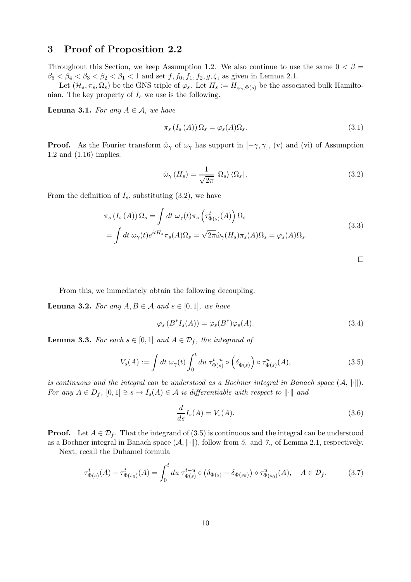## 3 Proof of Proposition 2.2

Throughout this Section, we keep Assumption 1.2. We also continue to use the same  $0 < \beta =$  $\beta_5 < \beta_4 < \beta_3 < \beta_2 < \beta_1 < 1$  and set  $f, f_0, f_1, f_2, g, \zeta$ , as given in Lemma 2.1.

Let  $(\mathcal{H}_s, \pi_s, \Omega_s)$  be the GNS triple of  $\varphi_s$ . Let  $H_s := H_{\varphi_s, \Phi(s)}$  be the associated bulk Hamiltonian. The key property of  $I_s$  we use is the following.

**Lemma 3.1.** For any  $A \in \mathcal{A}$ , we have

$$
\pi_s\left(I_s\left(A\right)\right)\Omega_s = \varphi_s(A)\Omega_s. \tag{3.1}
$$

**Proof.** As the Fourier transform  $\hat{\omega}_{\gamma}$  of  $\omega_{\gamma}$  has support in  $[-\gamma, \gamma]$ , (v) and (vi) of Assumption 1.2 and (1.16) implies:

$$
\hat{\omega}_{\gamma} (H_s) = \frac{1}{\sqrt{2\pi}} |\Omega_s\rangle \langle \Omega_s| \,. \tag{3.2}
$$

From the definition of  $I_s$ , substituting  $(3.2)$ , we have

$$
\pi_s(I_s(A))\Omega_s = \int dt \,\omega_\gamma(t)\pi_s\left(\tau^t_{\Phi(s)}(A)\right)\Omega_s
$$
\n
$$
= \int dt \,\omega_\gamma(t)e^{itH_s}\pi_s(A)\Omega_s = \sqrt{2\pi}\hat{\omega}_\gamma(H_s)\pi_s(A)\Omega_s = \varphi_s(A)\Omega_s.
$$
\n(3.3)

 $\Box$ 

From this, we immediately obtain the following decoupling.

**Lemma 3.2.** For any  $A, B \in \mathcal{A}$  and  $s \in [0, 1]$ , we have

$$
\varphi_s(B^*I_s(A)) = \varphi_s(B^*)\varphi_s(A). \tag{3.4}
$$

**Lemma 3.3.** For each  $s \in [0,1]$  and  $A \in \mathcal{D}_f$ , the integrand of

$$
V_s(A) := \int dt \,\omega_{\gamma}(t) \int_0^t du \,\tau_{\Phi(s)}^{t-u} \circ \left(\delta_{\dot{\Phi}(s)}\right) \circ \tau_{\Phi(s)}^u(A),\tag{3.5}
$$

is continuous and the integral can be understood as a Bochner integral in Banach space  $(A, \|\cdot\|)$ . For any  $A \in D_f$ ,  $[0,1] \ni s \to I_s(A) \in \mathcal{A}$  is differentiable with respect to  $\|\cdot\|$  and

$$
\frac{d}{ds}I_s(A) = V_s(A). \tag{3.6}
$$

**Proof.** Let  $A \in \mathcal{D}_f$ . That the integrand of (3.5) is continuous and the integral can be understood as a Bochner integral in Banach space  $(A, \|\cdot\|)$ , follow from 5. and 7., of Lemma 2.1, respectively.

Next, recall the Duhamel formula

$$
\tau_{\Phi(s)}^t(A) - \tau_{\Phi(s_0)}^t(A) = \int_0^t du \ \tau_{\Phi(s)}^{t-u} \circ \left(\delta_{\Phi(s)} - \delta_{\Phi(s_0)}\right) \circ \tau_{\Phi(s_0)}^u(A), \quad A \in \mathcal{D}_f. \tag{3.7}
$$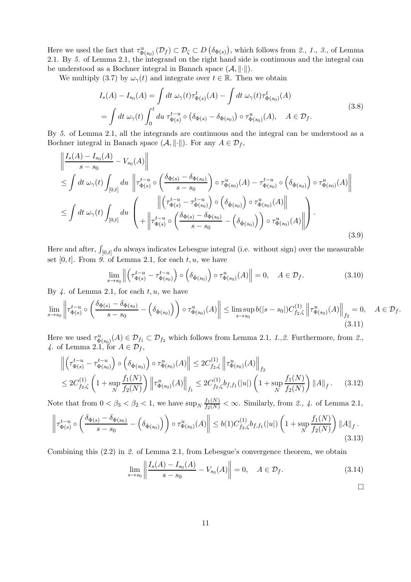Here we used the fact that  $\tau_{\Phi(s_0)}^u(\mathcal{D}_f) \subset \mathcal{D}_\zeta \subset D\left(\delta_{\Phi(s)}\right)$ , which follows from  $\mathcal{Z}, \mathcal{I}, \mathcal{Z},$  of Lemma 2.1. By 5. of Lemma 2.1, the integrand on the right hand side is continuous and the integral can be understood as a Bochner integral in Banach space  $(A, \|\cdot\|)$ .

We multiply (3.7) by  $\omega_{\gamma}(t)$  and integrate over  $t \in \mathbb{R}$ . Then we obtain

$$
I_s(A) - I_{s_0}(A) = \int dt \,\omega_\gamma(t) \tau_{\Phi(s)}^t(A) - \int dt \,\omega_\gamma(t) \tau_{\Phi(s_0)}^t(A)
$$
  
= 
$$
\int dt \,\omega_\gamma(t) \int_0^t du \,\tau_{\Phi(s)}^{t-u} \circ (\delta_{\Phi(s)} - \delta_{\Phi(s_0)}) \circ \tau_{\Phi(s_0)}^u(A), \quad A \in \mathcal{D}_f.
$$
 (3.8)

By 5. of Lemma 2.1, all the integrands are continuous and the integral can be understood as a Bochner integral in Banach space  $(\mathcal{A}, \|\cdot\|)$ . For any  $A \in \mathcal{D}_f$ ,

$$
\begin{split}\n\left\| \frac{I_s(A) - I_{s_0}(A)}{s - s_0} - V_{s_0}(A) \right\| \\
&\leq \int dt \,\omega_\gamma(t) \int_{[0,t]} du \, \left\| \tau_{\Phi(s)}^{t-u} \circ \left( \frac{\delta_{\Phi(s)} - \delta_{\Phi(s_0)}}{s - s_0} \right) \circ \tau_{\Phi(s_0)}^u(A) - \tau_{\Phi(s_0)}^{t-u} \circ \left( \delta_{\dot{\Phi}(s_0)} \right) \circ \tau_{\Phi(s_0)}^u(A) \right\| \\
&\leq \int dt \,\omega_\gamma(t) \int_{[0,t]} du \, \left\| \left( \tau_{\Phi(s)}^{t-u} - \tau_{\Phi(s_0)}^{t-u} \right) \circ \left( \delta_{\dot{\Phi}(s_0)} \right) \circ \tau_{\Phi(s_0)}^u(A) \right\| \\
&+ \left\| \tau_{\Phi(s)}^{t-u} \circ \left( \frac{\delta_{\Phi(s)} - \delta_{\Phi(s_0)}}{s - s_0} - \left( \delta_{\dot{\Phi}(s_0)} \right) \right) \circ \tau_{\Phi(s_0)}^u(A) \right\| \right).\n\end{split} \tag{3.9}
$$

Here and after,  $\int_{[0,t]} du$  always indicates Lebesgue integral (i.e. without sign) over the measurable set  $[0, t]$ . From 9. of Lemma 2.1, for each t, u, we have

$$
\lim_{s \to s_0} \left\| \left( \tau_{\Phi(s)}^{t-u} - \tau_{\Phi(s_0)}^{t-u} \right) \circ \left( \delta_{\Phi(s_0)} \right) \circ \tau_{\Phi(s_0)}^u(A) \right\| = 0, \quad A \in \mathcal{D}_f. \tag{3.10}
$$

By  $\downarrow$ . of Lemma 2.1, for each  $t, u$ , we have

$$
\lim_{s \to s_0} \left\| \tau_{\Phi(s)}^{t-u} \circ \left( \frac{\delta_{\Phi(s)} - \delta_{\Phi(s_0)}}{s - s_0} - \left( \delta_{\Phi(s_0)} \right) \right) \circ \tau_{\Phi(s_0)}^u(A) \right\| \le \limsup_{s \to s_0} b(|s - s_0|) C_{f_2, \zeta}^{(1)} \left\| \tau_{\Phi(s_0)}^u(A) \right\|_{f_2} = 0, \quad A \in \mathcal{D}_f. \tag{3.11}
$$

Here we used  $\tau_{\Phi(s_0)}^u(A) \in \mathcal{D}_{f_1} \subset \mathcal{D}_{f_2}$  which follows from Lemma 2.1, 1.,2. Furthermore, from 2., 4. of Lemma 2.1, for  $A \in \mathcal{D}_f$ ,

$$
\left\| \left( \tau_{\Phi(s)}^{t-u} - \tau_{\Phi(s_0)}^{t-u} \right) \circ \left( \delta_{\Phi(s_0)} \right) \circ \tau_{\Phi(s_0)}^u(A) \right\| \leq 2C_{f_2,\zeta}^{(1)} \left\| \tau_{\Phi(s_0)}^u(A) \right\|_{f_2}
$$
  
\n
$$
\leq 2C_{f_2,\zeta}^{(1)} \left( 1 + \sup_N \frac{f_1(N)}{f_2(N)} \right) \left\| \tau_{\Phi(s_0)}^u(A) \right\|_{f_1} \leq 2C_{f_2,\zeta}^{(1)} b_{f,f_1}(|u|) \left( 1 + \sup_N \frac{f_1(N)}{f_2(N)} \right) \|A\|_f. \tag{3.12}
$$

Note that from  $0 < \beta_3 < \beta_2 < 1$ , we have  $\sup_N \frac{f_1(N)}{f_2(N)} < \infty$ . Similarly, from 2., 4. of Lemma 2.1,

$$
\left\| \tau_{\Phi(s)}^{t-u} \circ \left( \frac{\delta_{\Phi(s)} - \delta_{\Phi(s_0)}}{s - s_0} - \left( \delta_{\dot{\Phi}(s_0)} \right) \right) \circ \tau_{\Phi(s_0)}^u(A) \right\| \le b(1) C_{f_2,\zeta}^{(1)} b_{f,f_1}(|u|) \left( 1 + \sup_N \frac{f_1(N)}{f_2(N)} \right) \|A\|_f. \tag{3.13}
$$

Combining this (2.2) in 2. of Lemma 2.1, from Lebesgue's convergence theorem, we obtain

$$
\lim_{s \to s_0} \left\| \frac{I_s(A) - I_{s_0}(A)}{s - s_0} - V_{s_0}(A) \right\| = 0, \quad A \in \mathcal{D}_f.
$$
\n(3.14)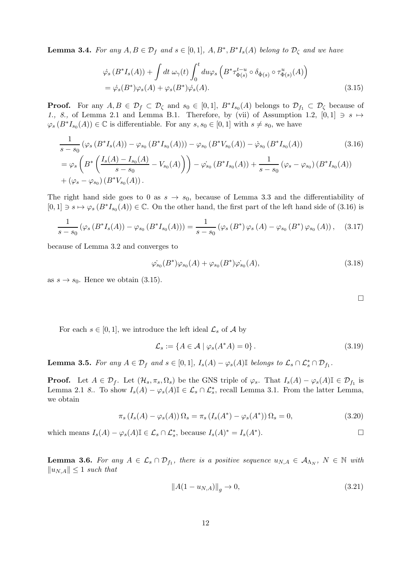**Lemma 3.4.** For any  $A, B \in \mathcal{D}_f$  and  $s \in [0,1], A, B^*, B^*I_s(A)$  belong to  $\mathcal{D}_\zeta$  and we have

$$
\dot{\varphi}_s(B^*I_s(A)) + \int dt \,\omega_\gamma(t) \int_0^t du \varphi_s\left(B^* \tau_{\Phi(s)}^{t-u} \circ \delta_{\dot{\Phi}(s)} \circ \tau_{\Phi(s)}^u(A)\right)
$$
  
=  $\dot{\varphi}_s(B^*)\varphi_s(A) + \varphi_s(B^*)\dot{\varphi}_s(A).$  (3.15)

**Proof.** For any  $A, B \in \mathcal{D}_f \subset \mathcal{D}_\zeta$  and  $s_0 \in [0,1], B^*I_{s_0}(A)$  belongs to  $\mathcal{D}_{f_1} \subset \mathcal{D}_\zeta$  because of 1., 8., of Lemma 2.1 and Lemma B.1. Therefore, by (vii) of Assumption 1.2,  $[0,1] \ni s \mapsto$  $\varphi_s(B^*I_{s_0}(A)) \in \mathbb{C}$  is differentiable. For any  $s, s_0 \in [0,1]$  with  $s \neq s_0$ , we have

$$
\frac{1}{s-s_0} \left( \varphi_s \left( B^* I_s(A) \right) - \varphi_{s_0} \left( B^* I_{s_0}(A) \right) \right) - \varphi_{s_0} \left( B^* V_{s_0}(A) \right) - \dot{\varphi}_{s_0} \left( B^* I_{s_0}(A) \right) \tag{3.16}
$$
\n
$$
= \varphi_s \left( B^* \left( \frac{I_s(A) - I_{s_0}(A)}{s - s_0} - V_{s_0}(A) \right) \right) - \dot{\varphi}_{s_0} \left( B^* I_{s_0}(A) \right) + \frac{1}{s - s_0} \left( \varphi_s - \varphi_{s_0} \right) \left( B^* I_{s_0}(A) \right) + (\varphi_s - \varphi_{s_0}) \left( B^* V_{s_0}(A) \right).
$$

The right hand side goes to 0 as  $s \to s_0$ , because of Lemma 3.3 and the differentiability of  $[0,1] \ni s \mapsto \varphi_s(B^*I_{s_0}(A)) \in \mathbb{C}$ . On the other hand, the first part of the left hand side of (3.16) is

$$
\frac{1}{s-s_0} \left( \varphi_s \left( B^* I_s(A) \right) - \varphi_{s_0} \left( B^* I_{s_0}(A) \right) \right) = \frac{1}{s-s_0} \left( \varphi_s \left( B^* \right) \varphi_s \left( A \right) - \varphi_{s_0} \left( B^* \right) \varphi_{s_0} \left( A \right) \right), \quad (3.17)
$$

because of Lemma 3.2 and converges to

$$
\varphi_{s_0}(B^*)\varphi_{s_0}(A) + \varphi_{s_0}(B^*)\varphi_{s_0}(A), \qquad (3.18)
$$

as  $s \to s_0$ . Hence we obtain (3.15).

 $\Box$ 

For each  $s \in [0,1]$ , we introduce the left ideal  $\mathcal{L}_s$  of A by

$$
\mathcal{L}_s := \{ A \in \mathcal{A} \mid \varphi_s(A^*A) = 0 \}.
$$
\n(3.19)

**Lemma 3.5.** For any  $A \in \mathcal{D}_f$  and  $s \in [0,1]$ ,  $I_s(A) - \varphi_s(A) \mathbb{I}$  belongs to  $\mathcal{L}_s \cap \mathcal{L}_s^* \cap \mathcal{D}_{f_1}$ .

**Proof.** Let  $A \in \mathcal{D}_f$ . Let  $(\mathcal{H}_s, \pi_s, \Omega_s)$  be the GNS triple of  $\varphi_s$ . That  $I_s(A) - \varphi_s(A)\mathbb{I} \in \mathcal{D}_{f_1}$  is Lemma 2.1 8.. To show  $I_s(A) - \varphi_s(A)\mathbb{I} \in \mathcal{L}_s \cap \mathcal{L}_s^*$ , recall Lemma 3.1. From the latter Lemma, we obtain

$$
\pi_s \left( I_s(A) - \varphi_s(A) \right) \Omega_s = \pi_s \left( I_s(A^*) - \varphi_s(A^*) \right) \Omega_s = 0, \tag{3.20}
$$

which means  $I_s(A) - \varphi_s(A) \mathbb{I} \in \mathcal{L}_s \cap \mathcal{L}_s^*$ , because  $I_s(A)^* = I_s(A^*$ ).  $\qquad \qquad \Box$ 

**Lemma 3.6.** For any  $A \in \mathcal{L}_s \cap \mathcal{D}_{f_1}$ , there is a positive sequence  $u_{N,A} \in \mathcal{A}_{\Lambda_N}$ ,  $N \in \mathbb{N}$  with  $||u_{N,A}|| \leq 1$  such that

$$
||A(1 - u_{N,A})||_g \to 0,
$$
\n(3.21)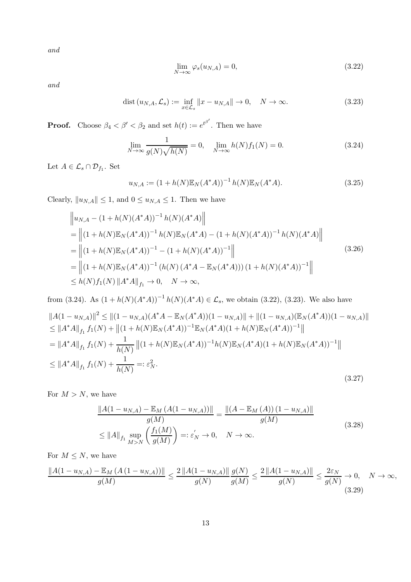and

$$
\lim_{N \to \infty} \varphi_s(u_{N,A}) = 0,\tag{3.22}
$$

and

$$
\text{dist}\left(u_{N,A}, \mathcal{L}_s\right) := \inf_{x \in \mathcal{L}_s} \|x - u_{N,A}\| \to 0, \quad N \to \infty. \tag{3.23}
$$

**Proof.** Choose  $\beta_4 < \beta' < \beta_2$  and set  $h(t) := e^{t^{\beta'}}$ . Then we have  $\overline{1}$ 

$$
\lim_{N \to \infty} \frac{1}{g(N)\sqrt{h(N)}} = 0, \quad \lim_{N \to \infty} h(N)f_1(N) = 0.
$$
 (3.24)

Let  $A \in \mathcal{L}_s \cap \mathcal{D}_{f_1}$ . Set

$$
u_{N,A} := (1 + h(N)\mathbb{E}_N(A^*A))^{-1} h(N)\mathbb{E}_N(A^*A). \tag{3.25}
$$

Clearly,  $\|u_{N,A}\|\leq 1,$  and  $0\leq u_{N,A}\leq 1.$  Then we have

$$
\|u_{N,A} - (1+h(N)(A^*A))^{-1}h(N)(A^*A)\|
$$
  
\n=
$$
\|(1+h(N)\mathbb{E}_N(A^*A))^{-1}h(N)\mathbb{E}_N(A^*A) - (1+h(N)(A^*A))^{-1}h(N)(A^*A)\|
$$
  
\n=
$$
\|(1+h(N)\mathbb{E}_N(A^*A))^{-1} - (1+h(N)(A^*A))^{-1}\|
$$
  
\n=
$$
\|(1+h(N)\mathbb{E}_N(A^*A))^{-1}(h(N)(A^*A - \mathbb{E}_N(A^*A))) (1+h(N)(A^*A))^{-1}\|
$$
  
\n
$$
\leq h(N)f_1(N) \|A^*A\|_{f_1} \to 0, \quad N \to \infty,
$$
 (3.26)

from (3.24). As 
$$
(1 + h(N)(A^*A))^{-1}h(N)(A^*A) \in \mathcal{L}_s
$$
, we obtain (3.22), (3.23). We also have  
\n
$$
||A(1 - u_{N,A})||^2 \le ||(1 - u_{N,A})(A^*A - \mathbb{E}_N(A^*A))(1 - u_{N,A})|| + ||(1 - u_{N,A})(\mathbb{E}_N(A^*A))(1 - u_{N,A})||
$$
\n
$$
\le ||A^*A||_{f_1}f_1(N) + ||(1 + h(N)\mathbb{E}_N(A^*A))^{-1}\mathbb{E}_N(A^*A)(1 + h(N)\mathbb{E}_N(A^*A))^{-1}||
$$
\n
$$
= ||A^*A||_{f_1}f_1(N) + \frac{1}{h(N)} ||(1 + h(N)\mathbb{E}_N(A^*A))^{-1}h(N)\mathbb{E}_N(A^*A)(1 + h(N)\mathbb{E}_N(A^*A))^{-1}||
$$
\n
$$
\le ||A^*A||_{f_1}f_1(N) + \frac{1}{h(N)} =: \varepsilon_N^2.
$$
\n(3.27)

For  $M > N$ , we have

$$
\frac{\|A(1 - u_{N,A}) - \mathbb{E}_M (A(1 - u_{N,A}))\|}{g(M)} = \frac{\|(A - \mathbb{E}_M (A)) (1 - u_{N,A})\|}{g(M)}
$$
\n
$$
\leq \|A\|_{f_1} \sup_{M > N} \left(\frac{f_1(M)}{g(M)}\right) =: \varepsilon_N' \to 0, \quad N \to \infty. \tag{3.28}
$$

For  $M \leq N$ , we have

$$
\frac{\|A(1-u_{N,A}) - \mathbb{E}_M (A(1-u_{N,A}))\|}{g(M)} \le \frac{2\|A(1-u_{N,A})\|}{g(N)} \frac{g(N)}{g(M)} \le \frac{2\|A(1-u_{N,A})\|}{g(N)} \le \frac{2\varepsilon_N}{g(N)} \to 0, \quad N \to \infty,
$$
\n(3.29)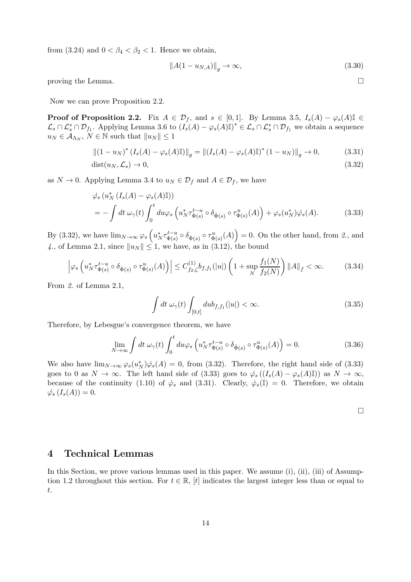from (3.24) and  $0 < \beta_4 < \beta_2 < 1$ . Hence we obtain,

$$
\|A(1 - u_{N,A})\|_g \to \infty,\tag{3.30}
$$

proving the Lemma.  $\Box$ 

Now we can prove Proposition 2.2.

**Proof of Proposition 2.2.** Fix  $A \in \mathcal{D}_f$ , and  $s \in [0,1]$ . By Lemma 3.5,  $I_s(A) - \varphi_s(A) \mathbb{I} \in$  $\mathcal{L}_s \cap \mathcal{L}_s^* \cap \mathcal{D}_{f_1}$ . Applying Lemma 3.6 to  $(I_s(A) - \varphi_s(A)\mathbb{I})^* \in \mathcal{L}_s \cap \mathcal{L}_s^* \cap \mathcal{D}_{f_1}$  we obtain a sequence  $u_N \in A_{\Lambda_N}, N \in \mathbb{N}$  such that  $||u_N|| \leq 1$ 

$$
||(1 - u_N)^* (I_s(A) - \varphi_s(A) \mathbb{I})||_g = ||(I_s(A) - \varphi_s(A) \mathbb{I})^* (1 - u_N)||_g \to 0,
$$
\n(3.31)

$$
dist(u_N, \mathcal{L}_s) \to 0,\tag{3.32}
$$

as  $N \to 0$ . Applying Lemma 3.4 to  $u_N \in \mathcal{D}_f$  and  $A \in \mathcal{D}_f$ , we have

$$
\dot{\varphi}_s \left( u_N^* \left( I_s(A) - \varphi_s(A) \mathbb{I} \right) \right) \n= - \int dt \, \omega_\gamma(t) \int_0^t du \varphi_s \left( u_N^* \tau_{\Phi(s)}^{t-u} \circ \delta_{\dot{\Phi}(s)} \circ \tau_{\Phi(s)}^u(A) \right) + \varphi_s(u_N^*) \dot{\varphi}_s(A).
$$
\n(3.33)

By (3.32), we have  $\lim_{N\to\infty}\varphi_s\left(u_N^*\tau_{\Phi(s)}^{t-u}\right)$  $\phi_{\Phi(s)}^{t-u} \circ \delta_{\dot{\Phi}(s)} \circ \tau_{\Phi(s)}^u(A)$  = 0. On the other hand, from 2., and 4., of Lemma 2.1, since  $||u_N|| \leq 1$ , we have, as in (3.12), the bound

$$
\left| \varphi_s \left( u_N^* \tau_{\Phi(s)}^{t-u} \circ \delta_{\dot{\Phi}(s)} \circ \tau_{\Phi(s)}^u(A) \right) \right| \le C_{f_2,\zeta}^{(1)} b_{f,f_1}(|u|) \left( 1 + \sup_N \frac{f_1(N)}{f_2(N)} \right) \|A\|_f < \infty.
$$
 (3.34)

From 2. of Lemma 2.1,

$$
\int dt \,\omega_{\gamma}(t) \int_{[0,t]} du b_{f,f_1}(|u|) < \infty. \tag{3.35}
$$

Therefore, by Lebesgue's convergence theorem, we have

$$
\lim_{N \to \infty} \int dt \,\,\omega_{\gamma}(t) \int_0^t du \varphi_s \left( u_N^* \tau_{\Phi(s)}^{t-u} \circ \delta_{\dot{\Phi}(s)} \circ \tau_{\Phi(s)}^u(A) \right) = 0. \tag{3.36}
$$

We also have  $\lim_{N\to\infty} \varphi_s(u_N^*)\dot{\varphi}_s(A) = 0$ , from (3.32). Therefore, the right hand side of (3.33) goes to 0 as  $N \to \infty$ . The left hand side of (3.33) goes to  $\dot{\varphi}_s((I_s(A) - \varphi_s(A)\mathbb{I}))$  as  $N \to \infty$ , because of the continuity (1.10) of  $\dot{\varphi}_s$  and (3.31). Clearly,  $\dot{\varphi}_s(I) = 0$ . Therefore, we obtain  $\dot{\varphi_s}\left(I_s(A)\right)=0.$ 

### 4 Technical Lemmas

In this Section, we prove various lemmas used in this paper. We assume (i), (ii), (iii) of Assumption 1.2 throughout this section. For  $t \in \mathbb{R}$ , [t] indicates the largest integer less than or equal to t.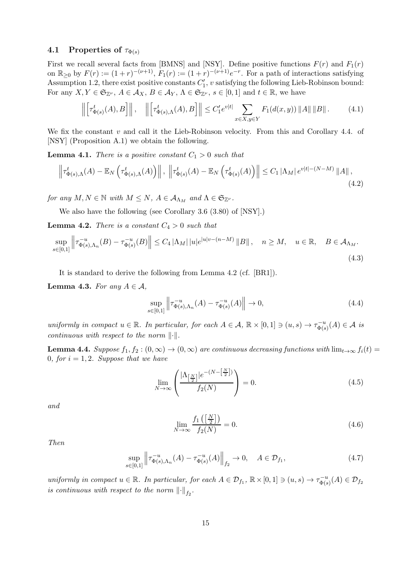### 4.1 Properties of  $\tau_{\Phi(s)}$

First we recall several facts from [BMNS] and [NSY]. Define positive functions  $F(r)$  and  $F_1(r)$ on  $\mathbb{R}_{\geq 0}$  by  $F(r) := (1+r)^{-(\nu+1)}$ ,  $F_1(r) := (1+r)^{-(\nu+1)}e^{-r}$ . For a path of interactions satisfying Assumption 1.2, there exist positive constants  $C'_1$ ,  $v$  satisfying the following Lieb-Robinson bound: For any  $X, Y \in \mathfrak{S}_{\mathbb{Z}^\nu}, A \in \mathcal{A}_X, B \in \mathcal{A}_Y, \Lambda \in \mathfrak{S}_{\mathbb{Z}^\nu}, s \in [0,1]$  and  $t \in \mathbb{R}$ , we have

$$
\left\| \left[ \tau^t_{\Phi(s)}(A), B \right] \right\|, \quad \left\| \left[ \tau^t_{\Phi(s),\Lambda}(A), B \right] \right\| \le C_1' e^{v|t|} \sum_{x \in X, y \in Y} F_1(d(x,y)) \left\| A \right\| \left\| B \right\|. \tag{4.1}
$$

We fix the constant  $v$  and call it the Lieb-Robinson velocity. From this and Corollary 4.4. of [NSY] (Proposition A.1) we obtain the following.

**Lemma 4.1.** There is a positive constant  $C_1 > 0$  such that

$$
\left\|\tau_{\Phi(s),\Lambda}^{t}(A)-\mathbb{E}_{N}\left(\tau_{\Phi(s),\Lambda}^{t}(A)\right)\right\|,\ \left\|\tau_{\Phi(s)}^{t}(A)-\mathbb{E}_{N}\left(\tau_{\Phi(s)}^{t}(A)\right)\right\|\leq C_{1} \left|\Lambda_{M}\right|e^{v|t|-(N-M)}\left\|A\right\|,\tag{4.2}
$$

for any  $M, N \in \mathbb{N}$  with  $M \leq N$ ,  $A \in \mathcal{A}_{\Lambda_M}$  and  $\Lambda \in \mathfrak{S}_{\mathbb{Z}^{\nu}}$ .

We also have the following (see Corollary 3.6 (3.80) of [NSY].)

**Lemma 4.2.** There is a constant  $C_4 > 0$  such that

$$
\sup_{s \in [0,1]} \left\| \tau_{\Phi(s),\Lambda_n}^{-u}(B) - \tau_{\Phi(s)}^{-u}(B) \right\| \le C_4 \left| \Lambda_M \right| |u| e^{|u| v - (n-M)} \|B\|, \quad n \ge M, \quad u \in \mathbb{R}, \quad B \in \mathcal{A}_{\Lambda_M}.
$$
\n(4.3)

It is standard to derive the following from Lemma 4.2 (cf. [BR1]).

**Lemma 4.3.** For any  $A \in \mathcal{A}$ ,

$$
\sup_{s \in [0,1]} \left\| \tau_{\Phi(s), \Lambda_n}^{-u}(A) - \tau_{\Phi(s)}^{-u}(A) \right\| \to 0,
$$
\n(4.4)

uniformly in compact  $u \in \mathbb{R}$ . In particular, for each  $A \in \mathcal{A}$ ,  $\mathbb{R} \times [0,1] \ni (u, s) \to \tau_{\Phi(s)}^{-u}$  $\mathcal{L}_{\Phi(s)}^{-u}(A) \in \mathcal{A}$  is continuous with respect to the norm  $\lVert \cdot \rVert$ .

**Lemma 4.4.** Suppose  $f_1, f_2 : (0, \infty) \to (0, \infty)$  are continuous decreasing functions with  $\lim_{t\to\infty} f_i(t) =$ 0, for  $i = 1, 2$ . Suppose that we have

$$
\lim_{N \to \infty} \left( \frac{|\Lambda_{\left[\frac{N}{2}\right]}|e^{-(N-\left[\frac{N}{2}\right])}}{f_2(N)} \right) = 0. \tag{4.5}
$$

and

$$
\lim_{N \to \infty} \frac{f_1\left(\left[\frac{N}{2}\right]\right)}{f_2(N)} = 0. \tag{4.6}
$$

Then

$$
\sup_{s \in [0,1]} \left\| \tau_{\Phi(s),\Lambda_n}^{-u}(A) - \tau_{\Phi(s)}^{-u}(A) \right\|_{f_2} \to 0, \quad A \in \mathcal{D}_{f_1},\tag{4.7}
$$

uniformly in compact  $u \in \mathbb{R}$ . In particular, for each  $A \in \mathcal{D}_{f_1}$ ,  $\mathbb{R} \times [0,1] \ni (u, s) \to \tau_{\Phi(s)}^{-u}$  $\mathcal{D}_{\Phi(s)}^{-u}(A)\in \mathcal{D}_{f_2}$ is continuous with respect to the norm  $\left\| \cdot \right\|_{{f_2}}$ .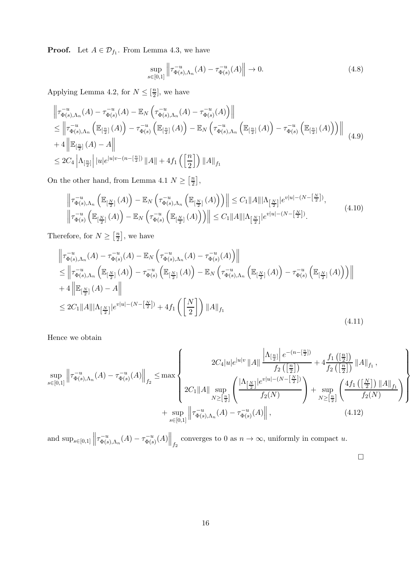**Proof.** Let  $A \in \mathcal{D}_{f_1}$ . From Lemma 4.3, we have

$$
\sup_{s \in [0,1]} \left\| \tau_{\Phi(s),\Lambda_n}^{-u}(A) - \tau_{\Phi(s)}^{-u}(A) \right\| \to 0. \tag{4.8}
$$

Applying Lemma 4.2, for  $N \leq \left[\frac{n}{2}\right]$  $\frac{n}{2}$ , we have

$$
\begin{split}\n\left\| \tau_{\Phi(s),\Lambda_n}^{-u}(A) - \tau_{\Phi(s)}^{-u}(A) - \mathbb{E}_N \left( \tau_{\Phi(s),\Lambda_n}^{-u}(A) - \tau_{\Phi(s)}^{-u}(A) \right) \right\| \\
&\leq \left\| \tau_{\Phi(s),\Lambda_n}^{-u}\left( \mathbb{E}_{\left[\frac{n}{2}\right]}(A) \right) - \tau_{\Phi(s)}^{-u}\left( \mathbb{E}_{\left[\frac{n}{2}\right]}(A) \right) - \mathbb{E}_N \left( \tau_{\Phi(s),\Lambda_n}^{-u}\left( \mathbb{E}_{\left[\frac{n}{2}\right]}(A) \right) - \tau_{\Phi(s)}^{-u}\left( \mathbb{E}_{\left[\frac{n}{2}\right]}(A) \right) \right) \right\| \\
&+ 4 \left\| \mathbb{E}_{\left[\frac{n}{2}\right]}(A) - A \right\| \\
&\leq 2C_4 \left| \Lambda_{\left[\frac{n}{2}\right]} \right| |u| e^{|u|v - (n - \left[\frac{n}{2}\right])} ||A|| + 4f_1 \left( \left[\frac{n}{2}\right] \right) ||A||_{f_1}\n\end{split} \tag{4.9}
$$

On the other hand, from Lemma 4.1  $N \geq \left[\frac{n}{2}\right]$  $\frac{n}{2}$ ,

$$
\left\|\tau_{\Phi(s),\Lambda_n}^{-u}\left(\mathbb{E}_{\left[\frac{N}{2}\right]}(A)\right)-\mathbb{E}_N\left(\tau_{\Phi(s),\Lambda_n}^{-u}\left(\mathbb{E}_{\left[\frac{N}{2}\right]}(A)\right)\right)\right\| \leq C_1 \|A\| |\Lambda_{\left[\frac{N}{2}\right]}| e^{v|u|-(N-\left[\frac{N}{2}\right])},
$$
\n
$$
\left\|\tau_{\Phi(s)}^{-u}\left(\mathbb{E}_{\left[\frac{N}{2}\right]}(A)\right)-\mathbb{E}_N\left(\tau_{\Phi(s)}^{-u}\left(\mathbb{E}_{\left[\frac{N}{2}\right]}(A)\right)\right)\right\| \leq C_1 \|A\| |\Lambda_{\left[\frac{N}{2}\right]}| e^{v|u|-(N-\left[\frac{N}{2}\right])}.
$$
\n(4.10)

Therefore, for  $N \geq \left[\frac{n}{2}\right]$  $\frac{n}{2}$ , we have

$$
\begin{split}\n\left\| \tau_{\Phi(s),\Lambda_n}^{-u}(A) - \tau_{\Phi(s)}^{-u}(A) - \mathbb{E}_N \left( \tau_{\Phi(s),\Lambda_n}^{-u}(A) - \tau_{\Phi(s)}^{-u}(A) \right) \right\| \\
&\leq \left\| \tau_{\Phi(s),\Lambda_n}^{-u} \left( \mathbb{E}_{\left[\frac{N}{2}\right]}(A) \right) - \tau_{\Phi(s)}^{-u} \left( \mathbb{E}_{\left[\frac{N}{2}\right]}(A) \right) - \mathbb{E}_N \left( \tau_{\Phi(s),\Lambda_n}^{-u} \left( \mathbb{E}_{\left[\frac{N}{2}\right]}(A) \right) - \tau_{\Phi(s)}^{-u} \left( \mathbb{E}_{\left[\frac{N}{2}\right]}(A) \right) \right) \right\| \\
&+ 4 \left\| \mathbb{E}_{\left[\frac{N}{2}\right]}(A) - A \right\| \\
&\leq 2C_1 \|A\| |\Lambda_{\left[\frac{N}{2}\right]} |e^{v|u| - (N - \left[\frac{N}{2}\right])} + 4f_1 \left( \left[\frac{N}{2}\right] \right) \|A\|_{f_1}\n\end{split} \tag{4.11}
$$

Hence we obtain

$$
\sup_{s\in[0,1]} \left\| \tau_{\Phi(s),\Lambda_n}^{-u}(A) - \tau_{\Phi(s)}^{-u}(A) \right\|_{f_2} \le \max \left\{ 2C_4 |u|e^{|u|v} ||A|| \frac{\left| \Lambda_{\left[\frac{n}{2}\right]} \right| e^{-(n-\left[\frac{n}{2}\right])}}{f_2\left(\left[\frac{n}{2}\right]\right)} + 4 \frac{f_1\left(\left[\frac{n}{2}\right]\right)}{f_2\left(\left[\frac{n}{2}\right]\right)} ||A||_{f_1}, \frac{\left| \Lambda_{\left[\frac{n}{2}\right]} \right|}{f_2\left(\left[\frac{n}{2}\right]\right)} \right\} + \sup_{N \ge \left[\frac{n}{2}\right]} \left\{ 2C_1 ||A|| \sup_{N \ge \left[\frac{n}{2}\right]} \left( \frac{\left| \Lambda_{\left[\frac{N}{2}\right]} \right| e^{v|u| - (N - \left[\frac{N}{2}\right])}}{f_2(N)} \right) + \sup_{N \ge \left[\frac{n}{2}\right]} \left( \frac{4f_1\left(\left[\frac{N}{2}\right]\right) ||A||_{f_1}}{f_2(N)} \right) \right\} + \sup_{s \in [0,1]} \left\| \tau_{\Phi(s),\Lambda_n}^{-u}(A) - \tau_{\Phi(s)}^{-u}(A) \right\|, \tag{4.12}
$$

and  $\sup_{s\in[0,1]}$  $\tau_{\Phi(s)}^{-u}$  $\tau_{\Phi(s),\Lambda_n}^{-u}(A) - \tau_{\Phi(s)}^{-u}$  $\left\| \mathbb{E}_{\Phi(s)}^{-u}(A) \right\|_{f_2}$  converges to 0 as  $n \to \infty$ , uniformly in compact u.

 $\Box$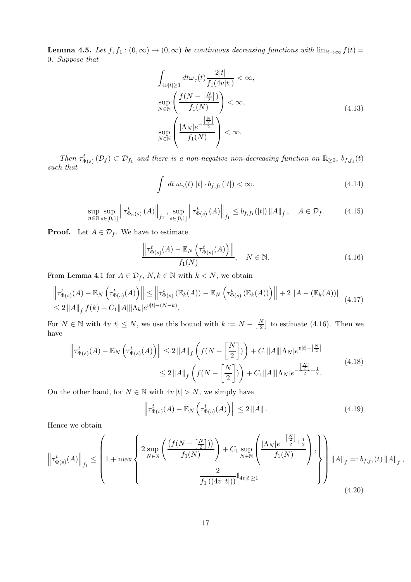**Lemma 4.5.** Let  $f, f_1 : (0, \infty) \to (0, \infty)$  be continuous decreasing functions with  $\lim_{t\to\infty} f(t) =$ 0. Suppose that

$$
\int_{4v|t|\geq 1} dt \omega_{\gamma}(t) \frac{2|t|}{f_1(4v|t|)} < \infty,
$$
\n
$$
\sup_{N \in \mathbb{N}} \left( \frac{f(N - \left[\frac{N}{2}\right])}{f_1(N)} \right) < \infty,
$$
\n
$$
\sup_{N \in \mathbb{N}} \left( \frac{|\Lambda_N|e^{-\frac{\left[\frac{N}{2}\right]}{2}}}{f_1(N)} \right) < \infty.
$$
\n(4.13)

Then  $\tau_{\Phi(s)}^t(\mathcal{D}_f) \subset \mathcal{D}_{f_1}$  and there is a non-negative non-decreasing function on  $\mathbb{R}_{\geq 0}$ ,  $b_{f,f_1}(t)$ such that

$$
\int dt \,\omega_{\gamma}(t) \,|t| \cdot b_{f,f_1}(|t|) < \infty. \tag{4.14}
$$

$$
\sup_{n \in \mathbb{N}} \sup_{s \in [0,1]} \left\| \tau_{\Phi_n(s)}^t(A) \right\|_{f_1}, \sup_{s \in [0,1]} \left\| \tau_{\Phi(s)}^t(A) \right\|_{f_1} \le b_{f,f_1}(|t|) \|A\|_f, \quad A \in \mathcal{D}_f. \tag{4.15}
$$

**Proof.** Let  $A \in \mathcal{D}_f$ . We have to estimate

$$
\frac{\left\|\tau_{\Phi(s)}^t(A) - \mathbb{E}_N\left(\tau_{\Phi(s)}^t(A)\right)\right\|}{f_1(N)}, \quad N \in \mathbb{N}.
$$
\n(4.16)

From Lemma 4.1 for  $A \in \mathcal{D}_f$ ,  $N, k \in \mathbb{N}$  with  $k < N$ , we obtain

$$
\left\| \tau_{\Phi(s)}^{t}(A) - \mathbb{E}_{N} \left( \tau_{\Phi(s)}^{t}(A) \right) \right\| \leq \left\| \tau_{\Phi(s)}^{t} \left( \mathbb{E}_{k}(A) \right) - \mathbb{E}_{N} \left( \tau_{\Phi(s)}^{t} \left( \mathbb{E}_{k}(A) \right) \right) \right\| + 2 \| A - (\mathbb{E}_{k}(A)) \|
$$
\n
$$
\leq 2 \| A \|_{f} f(k) + C_{1} \| A \| |\Lambda_{k} | e^{v|t| - (N - k)}.
$$
\n(4.17)

For  $N \in \mathbb{N}$  with  $4v |t| \leq N$ , we use this bound with  $k := N - \left[\frac{N}{2}\right]$  $\frac{N}{2}$  to estimate (4.16). Then we have

$$
\left\| \tau_{\Phi(s)}^{t}(A) - \mathbb{E}_{N} \left( \tau_{\Phi(s)}^{t}(A) \right) \right\| \leq 2 \left\| A \right\|_{f} \left( f\left( N - \left[ \frac{N}{2} \right] \right) \right) + C_{1} \|A\| |\Lambda_{N}| e^{v|t| - \left[ \frac{N}{2} \right]} \n\leq 2 \left\| A \right\|_{f} \left( f\left( N - \left[ \frac{N}{2} \right] \right) \right) + C_{1} \|A\| |\Lambda_{N}| e^{-\frac{\left[ \frac{N}{2} \right]}{2} + \frac{1}{2}}.
$$
\n(4.18)

On the other hand, for  $N \in \mathbb{N}$  with  $4v |t| > N$ , we simply have

$$
\left\| \tau_{\Phi(s)}^t(A) - \mathbb{E}_N \left( \tau_{\Phi(s)}^t(A) \right) \right\| \le 2 \left\| A \right\|. \tag{4.19}
$$

,

Hence we obtain

$$
\left\| \tau_{\Phi(s)}^{t}(A) \right\|_{f_1} \leq \left( 1 + \max \left\{ \frac{2 \sup_{N \in \mathbb{N}} \left( \frac{\left( f(N - \left[ \frac{N}{2} \right] \right) \right)}{f_1(N)} \right) + C_1 \sup_{N \in \mathbb{N}} \left( \frac{\left| \Lambda_N \right| e^{-\frac{\left[ \frac{N}{2} \right]}{2} + \frac{1}{2}}}{f_1(N)} \right)}{f_1(N)} \right\} \right) \cdot \left\| A \right\|_f =: b_{f, f_1}(t) \left\| A \right\|_f
$$
\n(4.20)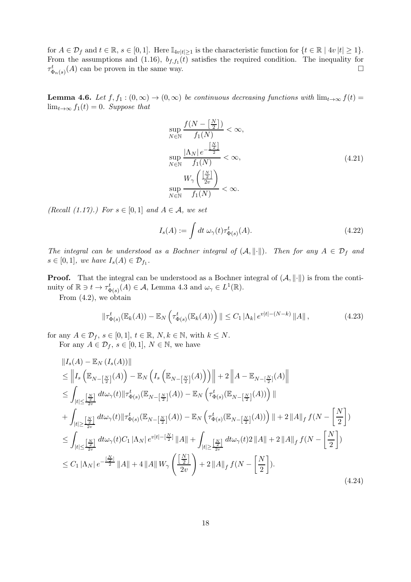for  $A \in \mathcal{D}_f$  and  $t \in \mathbb{R}$ ,  $s \in [0,1]$ . Here  $\mathbb{I}_{4v|t|\geq 1}$  is the characteristic function for  $\{t \in \mathbb{R} \mid 4v | t | \geq 1\}$ . From the assumptions and (1.16),  $b_{f,f_1}(t)$  satisfies the required condition. The inequality for  $\tau_{\Phi_n(s)}^t(A)$  can be proven in the same way.

**Lemma 4.6.** Let  $f, f_1 : (0, \infty) \to (0, \infty)$  be continuous decreasing functions with  $\lim_{t\to\infty} f(t) =$  $\lim_{t\to\infty} f_1(t) = 0$ . Suppose that

$$
\sup_{N \in \mathbb{N}} \frac{f(N - \left[\frac{N}{2}\right])}{f_1(N)} < \infty,
$$
\n
$$
\sup_{N \in \mathbb{N}} \frac{|\Lambda_N| e^{-\frac{\left[\frac{N}{2}\right]}{2}}}{f_1(N)} < \infty,
$$
\n
$$
\sup_{N \in \mathbb{N}} \frac{W_\gamma\left(\frac{\left[\frac{N}{2}\right]}{2v}\right)}{f_1(N)} < \infty.
$$
\n(4.21)

(Recall (1.17).) For  $s \in [0,1]$  and  $A \in \mathcal{A}$ , we set

$$
I_s(A) := \int dt \,\omega_\gamma(t)\tau^t_{\Phi(s)}(A). \tag{4.22}
$$

The integral can be understood as a Bochner integral of  $(A, \|\cdot\|)$ . Then for any  $A \in \mathcal{D}_f$  and  $s \in [0,1],$  we have  $I_s(A) \in \mathcal{D}_{f_1}.$ 

**Proof.** That the integral can be understood as a Bochner integral of  $(A, \|\cdot\|)$  is from the continuity of  $\mathbb{R} \ni t \to \tau_{\Phi(s)}^t(A) \in \mathcal{A}$ , Lemma 4.3 and  $\omega_\gamma \in L^1(\mathbb{R})$ .

From (4.2), we obtain

$$
\|\tau_{\Phi(s)}^t(\mathbb{E}_k(A)) - \mathbb{E}_N \left( \tau_{\Phi(s)}^t(\mathbb{E}_k(A)) \right) \| \le C_1 |\Lambda_k| \, e^{v|t| - (N - k)} \|A\| \,, \tag{4.23}
$$

for any  $A \in \mathcal{D}_f$ ,  $s \in [0,1]$ ,  $t \in \mathbb{R}$ ,  $N, k \in \mathbb{N}$ , with  $k \leq N$ . For any  $A \in \mathcal{D}_f$ ,  $s \in [0,1]$ ,  $N \in \mathbb{N}$ , we have

$$
\|I_{s}(A) - \mathbb{E}_{N} (I_{s}(A))\| \n\leq \|I_{s} (\mathbb{E}_{N-[\frac{N}{2}]}(A)) - \mathbb{E}_{N} (I_{s} (\mathbb{E}_{N-[\frac{N}{2}]}(A))) \| + 2 \|A - \mathbb{E}_{N-[\frac{N}{2}]}(A) \| \n\leq \int_{|t| \leq [\frac{N}{2v}]} dt \omega_{\gamma}(t) \|\tau_{\Phi(s)}^{t}(\mathbb{E}_{N-[\frac{N}{2}]}(A)) - \mathbb{E}_{N} ( \tau_{\Phi(s)}^{t}(\mathbb{E}_{N-[\frac{N}{2}]}(A)) ) \| \n+ \int_{|t| \geq [\frac{N}{2v}]} dt \omega_{\gamma}(t) \|\tau_{\Phi(s)}^{t}(\mathbb{E}_{N-[\frac{N}{2}]}(A)) - \mathbb{E}_{N} ( \tau_{\Phi(s)}^{t}(\mathbb{E}_{N-[\frac{N}{2}]}(A)) ) \| + 2 \|A\|_{f} f(N - [\frac{N}{2}]) \n\leq \int_{|t| \leq [\frac{N}{2v}]} dt \omega_{\gamma}(t) C_{1} |\Lambda_{N}| e^{v|t| - [\frac{N}{2}]} \|A\| + \int_{|t| \geq [\frac{N}{2v}]} dt \omega_{\gamma}(t) 2 \|A\| + 2 \|A\|_{f} f(N - [\frac{N}{2}]) \n\leq C_{1} |\Lambda_{N}| e^{-\frac{[\frac{N}{2}]}{2v}} \|A\| + 4 \|A\| W_{\gamma} (\frac{[\frac{N}{2}]}{2v}) + 2 \|A\|_{f} f(N - [\frac{N}{2}]). \tag{4.24}
$$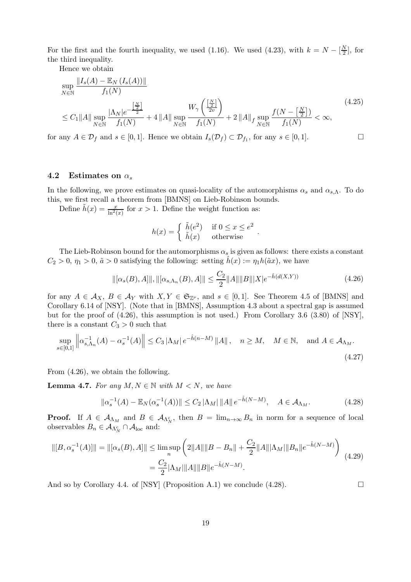For the first and the fourth inequality, we used (1.16). We used (4.23), with  $k = N - \left[\frac{N}{2}\right]$  $\frac{N}{2}$ , for the third inequality.

Hence we obtain

$$
\sup_{N \in \mathbb{N}} \frac{\|I_s(A) - \mathbb{E}_N (I_s(A))\|}{f_1(N)} \leq C_1 \|A\| \sup_{N \in \mathbb{N}} \frac{|\frac{N}{2}|}{f_1(N)} + 4 \|A\| \sup_{N \in \mathbb{N}} \frac{W_\gamma \left(\frac{\left[\frac{N}{2}\right]}{2v}\right)}{f_1(N)} + 2 \|A\|_f \sup_{N \in \mathbb{N}} \frac{f(N - \left[\frac{N}{2}\right])}{f_1(N)} < \infty,
$$
\n
$$
(4.25)
$$

for any  $A \in \mathcal{D}_f$  and  $s \in [0,1]$ . Hence we obtain  $I_s(\mathcal{D}_f) \subset \mathcal{D}_{f_1}$ , for any  $s \in [0,1]$ .

#### 4.2 Estimates on  $\alpha_s$

In the following, we prove estimates on quasi-locality of the automorphisms  $\alpha_s$  and  $\alpha_{s,\Lambda}$ . To do this, we first recall a theorem from [BMNS] on Lieb-Robinson bounds.

Define  $\tilde{h}(x) = \frac{x}{\ln^2(x)}$  for  $x > 1$ . Define the weight function as:

$$
h(x) = \begin{cases} \tilde{h}(e^2) & \text{if } 0 \le x \le e^2 \\ \tilde{h}(x) & \text{otherwise} \end{cases}.
$$

The Lieb-Robinson bound for the automorphisms  $\alpha_s$  is given as follows: there exists a constant  $C_2 > 0$ ,  $\eta_1 > 0$ ,  $\tilde{a} > 0$  satisfying the following: setting  $\tilde{h}(x) := \eta_1 h(\tilde{a}x)$ , we have

$$
\|[\alpha_s(B), A]\|, \|[ \alpha_{s, \Lambda_n}(B), A]\| \leq \frac{C_2}{2} \|A\| \|B\| |X| e^{-\hat{h}(d(X, Y))}
$$
\n(4.26)

for any  $A \in \mathcal{A}_X$ ,  $B \in \mathcal{A}_Y$  with  $X, Y \in \mathfrak{S}_{\mathbb{Z}^\nu}$ , and  $s \in [0,1]$ . See Theorem 4.5 of [BMNS] and Corollary 6.14 of [NSY]. (Note that in [BMNS], Assumption 4.3 about a spectral gap is assumed but for the proof of  $(4.26)$ , this assumption is not used.) From Corollary 3.6  $(3.80)$  of [NSY], there is a constant  $C_3 > 0$  such that

$$
\sup_{s\in[0,1]} \left\| \alpha_{s,\Lambda_n}^{-1}(A) - \alpha_s^{-1}(A) \right\| \le C_3 \left| \Lambda_M \right| e^{-\hat{h}(n-M)} \|A\|, \quad n \ge M, \quad M \in \mathbb{N}, \quad \text{and } A \in \mathcal{A}_{\Lambda_M}.
$$
\n
$$
(4.27)
$$

From (4.26), we obtain the following.

**Lemma 4.7.** For any  $M, N \in \mathbb{N}$  with  $M < N$ , we have

$$
\|\alpha_s^{-1}(A) - \mathbb{E}_N(\alpha_s^{-1}(A))\| \le C_2 \|\Lambda_M\| \|A\| \, e^{-\hat{h}(N-M)}, \quad A \in \mathcal{A}_{\Lambda_M}.\tag{4.28}
$$

**Proof.** If  $A \in A_{\Lambda_M}$  and  $B \in A_{\Lambda_N^c}$ , then  $B = \lim_{n \to \infty} B_n$  in norm for a sequence of local observables  $B_n \in A_{\Lambda_N^c} \cap A_{\text{loc}}$  and:

$$
\| [B, \alpha_s^{-1}(A)] \| = \| [\alpha_s(B), A] \| \le \limsup_n \left( 2\|A\| \|B - B_n\| + \frac{C_2}{2} \|A\| |\Lambda_M| \|B_n\| e^{-\hat{h}(N-M)} \right)
$$
  

$$
= \frac{C_2}{2} |\Lambda_M| \|A\| \|B\| e^{-\hat{h}(N-M)}.
$$
 (4.29)

And so by Corollary 4.4. of [NSY] (Proposition A.1) we conclude (4.28).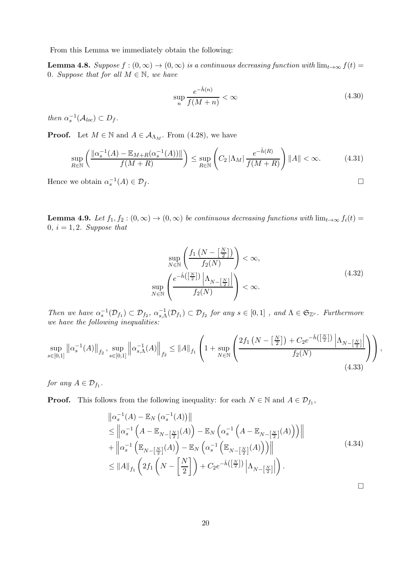From this Lemma we immediately obtain the following:

**Lemma 4.8.** Suppose  $f : (0, \infty) \to (0, \infty)$  is a continuous decreasing function with  $\lim_{t\to\infty} f(t) =$ 0. Suppose that for all  $M \in \mathbb{N}$ , we have

$$
\sup_{n} \frac{e^{-\hat{h}(n)}}{f(M+n)} < \infty \tag{4.30}
$$

then  $\alpha_s^{-1}(\mathcal{A}_{loc}) \subset D_f$ .

**Proof.** Let  $M \in \mathbb{N}$  and  $A \in \mathcal{A}_{\Lambda_M}$ . From (4.28), we have

$$
\sup_{R \in \mathbb{N}} \left( \frac{\left\| \alpha_s^{-1}(A) - \mathbb{E}_{M+R}(\alpha_s^{-1}(A)) \right\|}{f(M+R)} \right) \le \sup_{R \in \mathbb{N}} \left( C_2 \left| \Lambda_M \right| \frac{e^{-\hat{h}(R)}}{f(M+R)} \right) \|A\| < \infty. \tag{4.31}
$$

Hence we obtain  $\alpha_s^{-1}(A) \in \mathcal{D}_f$ .

**Lemma 4.9.** Let  $f_1, f_2 : (0, \infty) \to (0, \infty)$  be continuous decreasing functions with  $\lim_{t\to\infty} f_i(t) =$ 0,  $i = 1, 2$ . Suppose that

$$
\sup_{N \in \mathbb{N}} \left( \frac{f_1\left(N - \left[\frac{N}{2}\right]\right)}{f_2(N)} \right) < \infty,
$$
\n
$$
\sup_{N \in \mathbb{N}} \left( \frac{e^{-\hat{h}\left(\left[\frac{N}{2}\right]\right)} \left| \Lambda_{N - \left[\frac{N}{2}\right]} \right|}{f_2(N)} \right) < \infty.
$$
\n
$$
(4.32)
$$

Then we have  $\alpha_s^{-1}(\mathcal{D}_{f_1}) \subset \mathcal{D}_{f_2}, \ \alpha_{s,\Lambda}^{-1}(\mathcal{D}_{f_1}) \subset \mathcal{D}_{f_2}$  for any  $s \in [0,1]$ , and  $\Lambda \in \mathfrak{S}_{\mathbb{Z}^\nu}$ . Furthermore we have the following inequalities:

$$
\sup_{s \in [0,1]} \left\| \alpha_s^{-1}(A) \right\|_{f_2}, \sup_{s \in [0,1]} \left\| \alpha_{s,\Lambda}^{-1}(A) \right\|_{f_2} \leq \|A\|_{f_1} \left( 1 + \sup_{N \in \mathbb{N}} \left( \frac{2f_1\left(N - \left[\frac{N}{2}\right]\right) + C_2 e^{-\hat{h}\left(\left[\frac{N}{2}\right]\right)} \left| \Lambda_{N - \left[\frac{N}{2}\right]}\right|}{f_2(N)} \right) \right),\tag{4.33}
$$

for any  $A \in \mathcal{D}_{f_1}$ .

**Proof.** This follows from the following inequality: for each  $N \in \mathbb{N}$  and  $A \in \mathcal{D}_{f_1}$ ,

$$
\begin{split}\n\left\| \alpha_s^{-1}(A) - \mathbb{E}_N \left( \alpha_s^{-1}(A) \right) \right\| \\
&\leq \left\| \alpha_s^{-1} \left( A - \mathbb{E}_{N - \left[\frac{N}{2}\right]}(A) \right) - \mathbb{E}_N \left( \alpha_s^{-1} \left( A - \mathbb{E}_{N - \left[\frac{N}{2}\right]}(A) \right) \right) \right\| \\
&\quad + \left\| \alpha_s^{-1} \left( \mathbb{E}_{N - \left[\frac{N}{2}\right]}(A) \right) - \mathbb{E}_N \left( \alpha_s^{-1} \left( \mathbb{E}_{N - \left[\frac{N}{2}\right]}(A) \right) \right) \right\| \\
&\leq \|A\|_{f_1} \left( 2f_1 \left( N - \left[\frac{N}{2}\right] \right) + C_2 e^{-\hat{h}\left(\left[\frac{N}{2}\right] \right)} \left| \Lambda_{N - \left[\frac{N}{2}\right]} \right| \right).\n\end{split} \tag{4.34}
$$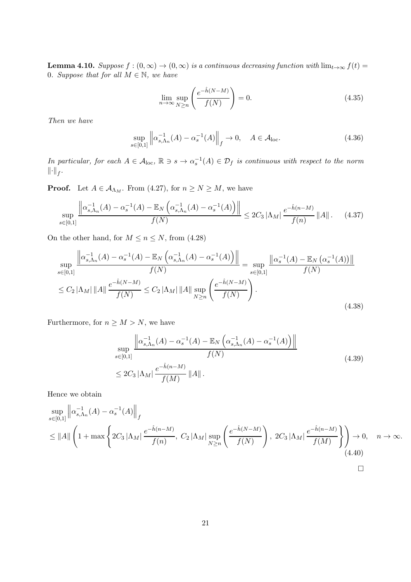**Lemma 4.10.** Suppose  $f : (0, \infty) \to (0, \infty)$  is a continuous decreasing function with  $\lim_{t\to\infty} f(t) =$ 0. Suppose that for all  $M \in \mathbb{N}$ , we have

$$
\lim_{n \to \infty} \sup_{N \ge n} \left( \frac{e^{-\hat{h}(N-M)}}{f(N)} \right) = 0. \tag{4.35}
$$

Then we have

$$
\sup_{s \in [0,1]} \left\| \alpha_{s,\Lambda_n}^{-1}(A) - \alpha_s^{-1}(A) \right\|_f \to 0, \quad A \in \mathcal{A}_{loc}.
$$
 (4.36)

In particular, for each  $A \in \mathcal{A}_{loc}$ ,  $\mathbb{R} \ni s \to \alpha_s^{-1}(A) \in \mathcal{D}_f$  is continuous with respect to the norm  $\left\Vert \cdot \right\Vert _{f}.$ 

**Proof.** Let  $A \in \mathcal{A}_{\Lambda_M}$ . From (4.27), for  $n \geq N \geq M$ , we have

$$
\sup_{s\in[0,1]} \frac{\left\|\alpha_{s,\Lambda_n}^{-1}(A) - \alpha_s^{-1}(A) - \mathbb{E}_N\left(\alpha_{s,\Lambda_n}^{-1}(A) - \alpha_s^{-1}(A)\right)\right\|}{f(N)} \le 2C_3 \left|\Lambda_M\right| \frac{e^{-\hat{h}(n-M)}}{f(n)} \left\|A\right\|.\tag{4.37}
$$

On the other hand, for  $M \le n \le N$ , from (4.28)

$$
\sup_{s \in [0,1]} \frac{\left\| \alpha_{s,\Lambda_n}^{-1}(A) - \alpha_s^{-1}(A) - \mathbb{E}_N \left( \alpha_{s,\Lambda_n}^{-1}(A) - \alpha_s^{-1}(A) \right) \right\|}{f(N)} = \sup_{s \in [0,1]} \frac{\left\| \alpha_s^{-1}(A) - \mathbb{E}_N \left( \alpha_s^{-1}(A) \right) \right\|}{f(N)}
$$
  

$$
\leq C_2 \left\| \Lambda_M \right| \left\| A \right\| \frac{e^{-\hat{h}(N-M)}}{f(N)} \leq C_2 \left\| \Lambda_M \right| \left\| A \right\| \sup_{N \geq n} \left( \frac{e^{-\hat{h}(N-M)}}{f(N)} \right).
$$
\n(4.38)

Furthermore, for  $n \geq M > N$ , we have

$$
\sup_{s \in [0,1]} \frac{\left\| \alpha_{s,\Lambda_n}^{-1}(A) - \alpha_s^{-1}(A) - \mathbb{E}_N \left( \alpha_{s,\Lambda_n}^{-1}(A) - \alpha_s^{-1}(A) \right) \right\|}{f(N)} \tag{4.39}
$$
\n
$$
\leq 2C_3 \left| \Lambda_M \right| \frac{e^{-\hat{h}(n-M)}}{f(M)} \left\| A \right\|.
$$

Hence we obtain

$$
\sup_{s\in[0,1]} \left\| \alpha_{s,\Lambda_n}^{-1}(A) - \alpha_s^{-1}(A) \right\|_f
$$
\n
$$
\leq \|A\| \left( 1 + \max \left\{ 2C_3 |\Lambda_M| \frac{e^{-\hat{h}(n-M)}}{f(n)}, C_2 |\Lambda_M| \sup_{N\geq n} \left( \frac{e^{-\hat{h}(N-M)}}{f(N)} \right), 2C_3 |\Lambda_M| \frac{e^{-\hat{h}(n-M)}}{f(M)} \right\} \right) \to 0, \quad n \to \infty.
$$
\n(4.40)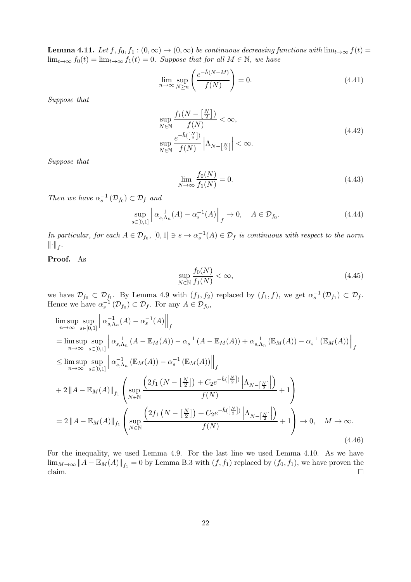**Lemma 4.11.** Let  $f, f_0, f_1 : (0, \infty) \to (0, \infty)$  be continuous decreasing functions with  $\lim_{t\to\infty} f(t) =$  $\lim_{t\to\infty} f_0(t) = \lim_{t\to\infty} f_1(t) = 0$ . Suppose that for all  $M \in \mathbb{N}$ , we have

$$
\lim_{n \to \infty} \sup_{N \ge n} \left( \frac{e^{-\hat{h}(N-M)}}{f(N)} \right) = 0. \tag{4.41}
$$

Suppose that

$$
\sup_{N \in \mathbb{N}} \frac{f_1(N - \left[\frac{N}{2}\right])}{f(N)} < \infty,
$$
\n
$$
\sup_{N \in \mathbb{N}} \frac{e^{-\hat{h}\left(\left[\frac{N}{2}\right]\right)}}{f(N)} \left|\Lambda_{N - \left[\frac{N}{2}\right]}\right| < \infty.
$$
\n
$$
(4.42)
$$

Suppose that

$$
\lim_{N \to \infty} \frac{f_0(N)}{f_1(N)} = 0.
$$
\n(4.43)

Then we have  $\alpha_s^{-1}(\mathcal{D}_{f_0}) \subset \mathcal{D}_f$  and

$$
\sup_{s \in [0,1]} \left\| \alpha_{s,\Lambda_n}^{-1}(A) - \alpha_s^{-1}(A) \right\|_f \to 0, \quad A \in \mathcal{D}_{f_0}.
$$
\n(4.44)

In particular, for each  $A \in \mathcal{D}_{f_0}$ ,  $[0,1] \ni s \to \alpha_s^{-1}(A) \in \mathcal{D}_f$  is continuous with respect to the norm  $\left\Vert \cdot \right\Vert _{f}.$ 

### Proof. As

$$
\sup_{N \in \mathbb{N}} \frac{f_0(N)}{f_1(N)} < \infty,\tag{4.45}
$$

we have  $\mathcal{D}_{f_0} \subset \mathcal{D}_{f_1}$ . By Lemma 4.9 with  $(f_1, f_2)$  replaced by  $(f_1, f)$ , we get  $\alpha_s^{-1}(\mathcal{D}_{f_1}) \subset \mathcal{D}_f$ . Hence we have  $\alpha_s^{-1}(\mathcal{D}_{f_0}) \subset \mathcal{D}_f$ . For any  $A \in \mathcal{D}_{f_0}$ ,

$$
\limsup_{n \to \infty} \sup_{s \in [0,1]} \left\| \alpha_{s,\Lambda_n}^{-1}(A) - \alpha_s^{-1}(A) \right\|_f
$$
\n
$$
= \limsup_{n \to \infty} \sup_{s \in [0,1]} \left\| \alpha_{s,\Lambda_n}^{-1}(A - \mathbb{E}_M(A)) - \alpha_s^{-1}(A - \mathbb{E}_M(A)) + \alpha_{s,\Lambda_n}^{-1}(\mathbb{E}_M(A)) - \alpha_s^{-1}(\mathbb{E}_M(A)) \right\|_f
$$
\n
$$
\leq \limsup_{n \to \infty} \sup_{s \in [0,1]} \left\| \alpha_{s,\Lambda_n}^{-1}(\mathbb{E}_M(A)) - \alpha_s^{-1}(\mathbb{E}_M(A)) \right\|_f
$$
\n
$$
+ 2 \left\| A - \mathbb{E}_M(A) \right\|_{f_1} \left( \sup_{N \in \mathbb{N}} \frac{\left( 2f_1\left( N - \left[ \frac{N}{2} \right] \right) + C_2 e^{-\hat{h}\left( \frac{N}{2} \right]} \right) \left| \Lambda_{N - \left[ \frac{N}{2} \right]} \right|}{f(N)} + 1 \right)
$$
\n
$$
= 2 \left\| A - \mathbb{E}_M(A) \right\|_{f_1} \left( \sup_{N \in \mathbb{N}} \frac{\left( 2f_1\left( N - \left[ \frac{N}{2} \right] \right) + C_2 e^{-\hat{h}\left( \frac{N}{2} \right]} \right) \left| \Lambda_{N - \left[ \frac{N}{2} \right]} \right|}{f(N)} + 1 \right) \to 0, \quad M \to \infty.
$$
\n(4.46)

For the inequality, we used Lemma 4.9. For the last line we used Lemma 4.10. As we have  $\lim_{M\to\infty}$   $||A - \mathbb{E}_M(A)||_{f_1} = 0$  by Lemma B.3 with  $(f, f_1)$  replaced by  $(f_0, f_1)$ , we have proven the claim.  $\square$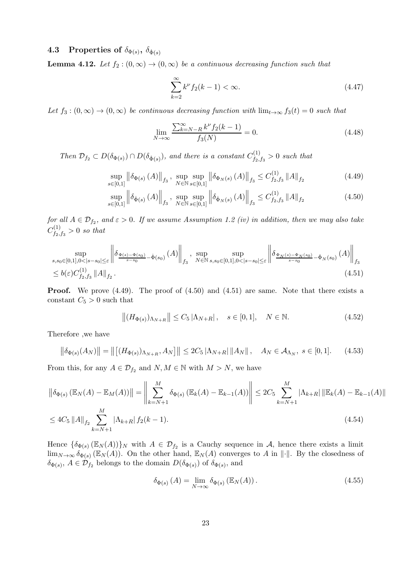### 4.3 Properties of  $\delta_{\Phi(s)}, \delta_{\dot{\Phi}(s)}$

**Lemma 4.12.** Let  $f_2$  :  $(0, \infty) \rightarrow (0, \infty)$  be a continuous decreasing function such that

$$
\sum_{k=2}^{\infty} k^{\nu} f_2(k-1) < \infty. \tag{4.47}
$$

Let  $f_3: (0, \infty) \to (0, \infty)$  be continuous decreasing function with  $\lim_{t\to\infty} f_3(t) = 0$  such that

$$
\lim_{N \to \infty} \frac{\sum_{k=N-R}^{\infty} k^{\nu} f_2(k-1)}{f_3(N)} = 0.
$$
\n(4.48)

Then  $\mathcal{D}_{f_2} \subset D(\delta_{\Phi(s)}) \cap D(\delta_{\dot{\Phi}(s)})$ , and there is a constant  $C^{(1)}_{f_2}$ ,  $f_{2,fs}^{(1)} > 0$  such that

$$
\sup_{s \in [0,1]} \left\| \delta_{\Phi(s)} \left( A \right) \right\|_{f_3}, \sup_{N \in \mathbb{N}} \sup_{s \in [0,1]} \left\| \delta_{\Phi_N(s)} \left( A \right) \right\|_{f_3} \le C_{f_2, f_3}^{(1)} \left\| A \right\|_{f_2} \tag{4.49}
$$

$$
\sup_{s \in [0,1]} \left\| \delta_{\dot{\Phi}(s)} \left( A \right) \right\|_{f_3}, \sup_{N \in \mathbb{N}} \sup_{s \in [0,1]} \left\| \delta_{\dot{\Phi}_N(s)} \left( A \right) \right\|_{f_3} \le C_{f_2, f_3}^{(1)} \left\| A \right\|_{f_2} \tag{4.50}
$$

for all  $A \in \mathcal{D}_{f_2}$ , and  $\varepsilon > 0$ . If we assume Assumption 1.2 (iv) in addition, then we may also take  ${C}^{(1)}_{f_\alpha}$  $f_{2,f_3}^{(1)} > 0$  so that

$$
\sup_{s,s_{0}\in[0,1],0<|s-s_{0}|\leq\varepsilon}\left\|\delta_{\frac{\Phi(s)-\Phi(s_{0})}{s-s_{0}}-\dot{\Phi}(s_{0})}\left(A\right)\right\|_{f_{3}},\sup_{N\in\mathbb{N}}\sup_{s,s_{0}\in[0,1],0<|s-s_{0}|\leq\varepsilon}\left\|\delta_{\frac{\Phi_{N}(s)-\Phi_{N}(s_{0})}{s-s_{0}}-\dot{\Phi}_{N}(s_{0})}\left(A\right)\right\|_{f_{3}}\leq b(\varepsilon)C_{f_{2},f_{3}}^{(1)}\left\|A\right\|_{f_{2}}.\tag{4.51}
$$

**Proof.** We prove (4.49). The proof of (4.50) and (4.51) are same. Note that there exists a constant  $C_5 > 0$  such that

$$
||(H_{\Phi(s)})_{\Lambda_{N+R}}|| \le C_5 |\Lambda_{N+R}|, \quad s \in [0,1], \quad N \in \mathbb{N}.
$$
 (4.52)

Therefore ,we have

$$
\left\| \delta_{\Phi(s)}(A_N) \right\| = \left\| \left[ (H_{\Phi(s)})_{\Lambda_{N+R}}, A_N \right] \right\| \le 2C_5 \left| \Lambda_{N+R} \right| \left\| A_N \right\|, \quad A_N \in \mathcal{A}_{\Lambda_N}, \ s \in [0, 1]. \tag{4.53}
$$

From this, for any  $A \in \mathcal{D}_{f_2}$  and  $N, M \in \mathbb{N}$  with  $M > N$ , we have

$$
\left\| \delta_{\Phi(s)} \left( \mathbb{E}_N(A) - \mathbb{E}_M(A) \right) \right\| = \left\| \sum_{k=N+1}^M \delta_{\Phi(s)} \left( \mathbb{E}_k(A) - \mathbb{E}_{k-1}(A) \right) \right\| \le 2C_5 \sum_{k=N+1}^M |\Lambda_{k+R}| \left\| \mathbb{E}_k(A) - \mathbb{E}_{k-1}(A) \right\|
$$
  

$$
\le 4C_5 \left\| A \right\|_{f_2} \sum_{k=N+1}^M |\Lambda_{k+R}| f_2(k-1).
$$
 (4.54)

Hence  $\{\delta_{\Phi(s)}(\mathbb{E}_N(A))\}_N$  with  $A \in \mathcal{D}_{f_2}$  is a Cauchy sequence in A, hence there exists a limit  $\lim_{N\to\infty}\delta_{\Phi(s)}(\mathbb{E}_N(A))$ . On the other hand,  $\mathbb{E}_N(A)$  converges to A in  $\|\cdot\|$ . By the closedness of  $\delta_{\Phi(s)}, A \in \mathcal{D}_{f_2}$  belongs to the domain  $D(\delta_{\Phi(s)})$  of  $\delta_{\Phi(s)},$  and

$$
\delta_{\Phi(s)}(A) = \lim_{N \to \infty} \delta_{\Phi(s)}(\mathbb{E}_N(A)). \tag{4.55}
$$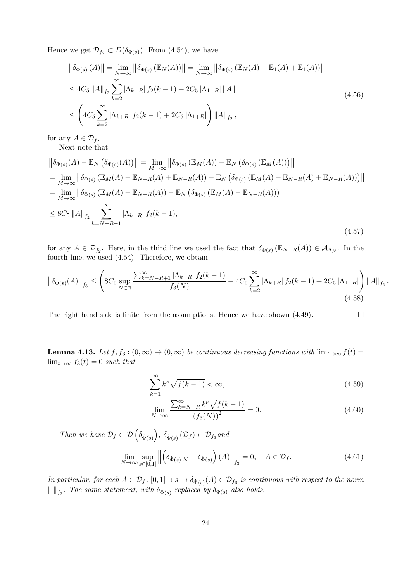Hence we get  $\mathcal{D}_{f_2} \subset D(\delta_{\Phi(s)})$ . From (4.54), we have

$$
\|\delta_{\Phi(s)}(A)\| = \lim_{N \to \infty} \|\delta_{\Phi(s)}(\mathbb{E}_N(A))\| = \lim_{N \to \infty} \|\delta_{\Phi(s)}(\mathbb{E}_N(A) - \mathbb{E}_1(A) + \mathbb{E}_1(A))\|
$$
  
\n
$$
\leq 4C_5 \|A\|_{f_2} \sum_{k=2}^{\infty} |\Lambda_{k+R}| f_2(k-1) + 2C_5 |\Lambda_{1+R}| \|A\|
$$
  
\n
$$
\leq \left(4C_5 \sum_{k=2}^{\infty} |\Lambda_{k+R}| f_2(k-1) + 2C_5 |\Lambda_{1+R}| \right) \|A\|_{f_2},
$$
\n(4.56)

for any  $A \in \mathcal{D}_{f_2}$ .

Next note that

$$
\|\delta_{\Phi(s)}(A) - \mathbb{E}_{N} (\delta_{\Phi(s)}(A))\| = \lim_{M \to \infty} \|\delta_{\Phi(s)} (\mathbb{E}_{M}(A)) - \mathbb{E}_{N} (\delta_{\Phi(s)} (\mathbb{E}_{M}(A)))\|
$$
  
\n
$$
= \lim_{M \to \infty} \|\delta_{\Phi(s)} (\mathbb{E}_{M}(A) - \mathbb{E}_{N-R}(A) + \mathbb{E}_{N-R}(A)) - \mathbb{E}_{N} (\delta_{\Phi(s)} (\mathbb{E}_{M}(A) - \mathbb{E}_{N-R}(A) + \mathbb{E}_{N-R}(A)))\|
$$
  
\n
$$
= \lim_{M \to \infty} \|\delta_{\Phi(s)} (\mathbb{E}_{M}(A) - \mathbb{E}_{N-R}(A)) - \mathbb{E}_{N} (\delta_{\Phi(s)} (\mathbb{E}_{M}(A) - \mathbb{E}_{N-R}(A)))\|
$$
  
\n
$$
\leq 8C_{5} \|A\|_{f_{2}} \sum_{k=N-R+1}^{\infty} |\Lambda_{k+R}| f_{2}(k-1),
$$
\n(4.57)

for any  $A \in \mathcal{D}_{f_2}$ . Here, in the third line we used the fact that  $\delta_{\Phi(s)}(\mathbb{E}_{N-R}(A)) \in \mathcal{A}_{\Lambda_N}$ . In the fourth line, we used (4.54). Therefore, we obtain

$$
\left\|\delta_{\Phi(s)}(A)\right\|_{f_3} \leq \left(8C_5 \sup_{N \in \mathbb{N}} \frac{\sum_{k=N-R+1}^{\infty} |\Lambda_{k+R}| f_2(k-1)}{f_3(N)} + 4C_5 \sum_{k=2}^{\infty} |\Lambda_{k+R}| f_2(k-1) + 2C_5 |\Lambda_{1+R}|\right) \|A\|_{f_2}.
$$
\n(4.58)

The right hand side is finite from the assumptions. Hence we have shown (4.49).  $\Box$ 

**Lemma 4.13.** Let  $f, f_3 : (0, \infty) \to (0, \infty)$  be continuous decreasing functions with  $\lim_{t\to\infty} f(t) =$  $\lim_{t\to\infty} f_3(t) = 0$  such that

$$
\sum_{k=1}^{\infty} k^{\nu} \sqrt{f(k-1)} < \infty,\tag{4.59}
$$

$$
\lim_{N \to \infty} \frac{\sum_{k=N-R}^{\infty} k^{\nu} \sqrt{f(k-1)}}{(f_3(N))^2} = 0.
$$
\n(4.60)

Then we have  $\mathcal{D}_f \subset \mathcal{D}\left(\delta_{\dot{\Phi}(s)}\right)$ ,  $\delta_{\dot{\Phi}(s)}\left(\mathcal{D}_f\right) \subset \mathcal{D}_{f_3}$  and

$$
\lim_{N \to \infty} \sup_{s \in [0,1]} \left\| \left( \delta_{\dot{\Phi}(s),N} - \delta_{\dot{\Phi}(s)} \right) (A) \right\|_{f_3} = 0, \quad A \in \mathcal{D}_f. \tag{4.61}
$$

In particular, for each  $A\in\mathcal{D}_f, [0,1]\ni s\to \delta_{\dot{\Phi}(s)}(A)\in\mathcal{D}_{f_3}$  is continuous with respect to the norm  $\left\|\cdot\right\|_{f_3}$ . The same statement, with  $\delta_{\dot{\Phi}(s)}$  replaced by  $\delta_{\Phi(s)}$  also holds.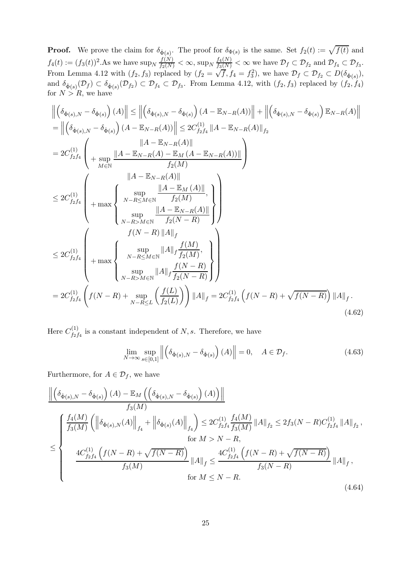**Proof.** We prove the claim for  $\delta_{\dot{\Phi}(s)}$ . The proof for  $\delta_{\Phi(s)}$  is the same. Set  $f_2(t) := \sqrt{f(t)}$  and  $f_4(t) := (f_3(t))^2$ . As we have  $\sup_N \frac{f(N)}{f_2(N)} < \infty$ ,  $\sup_N \frac{f_4(N)}{f_3(N)} < \infty$  we have  $\mathcal{D}_f \subset \mathcal{D}_{f_2}$  and  $\mathcal{D}_{f_4} \subset \mathcal{D}_{f_3}$ . From Lemma 4.12 with  $(f_2, f_3)$  replaced by  $(f_2 = \sqrt{f}, f_4 = f_3^2)$ , we have  $\mathcal{D}_f \subset \mathcal{D}_{f_2} \subset D(\delta_{\dot{\Phi}(s)})$ , and  $\delta_{\dot{\Phi}(s)}(\mathcal{D}_f) \subset \delta_{\dot{\Phi}(s)}(\mathcal{D}_{f_2}) \subset \mathcal{D}_{f_4} \subset \mathcal{D}_{f_3}$ . From Lemma 4.12, with  $(f_2, f_3)$  replaced by  $(f_2, f_4)$ for  $N > R$ , we have

$$
\left\| \left( \delta_{\dot{\Phi}(s),N} - \delta_{\dot{\Phi}(s)} \right) (A) \right\| \leq \left\| \left( \delta_{\dot{\Phi}(s),N} - \delta_{\dot{\Phi}(s)} \right) (A - \mathbb{E}_{N-R}(A)) \right\| + \left\| \left( \delta_{\dot{\Phi}(s),N} - \delta_{\dot{\Phi}(s)} \right) \mathbb{E}_{N-R}(A) \right\|
$$
\n
$$
= \left\| \left( \delta_{\dot{\Phi}(s),N} - \delta_{\dot{\Phi}(s)} \right) (A - \mathbb{E}_{N-R}(A)) \right\| \leq 2C_{f_2f_4}^{(1)} \|A - \mathbb{E}_{N-R}(A) \|_{f_2}
$$
\n
$$
= 2C_{f_2f_4}^{(1)} \left( \begin{array}{c} \|A - \mathbb{E}_{N-R}(A) - \mathbb{E}_{M}(A - \mathbb{E}_{N-R}(A)) \| \\ + \sup_{M \in \mathbb{N}} \frac{\|A - \mathbb{E}_{N-R}(A) \|}{f_2(M)} \end{array} \right)
$$
\n
$$
\leq 2C_{f_2f_4}^{(1)} \left( \begin{array}{c} \sup_{N-R \leq M \in \mathbb{N}} \frac{\|A - \mathbb{E}_{M}(A) \|}{f_2(M)} \\ + \max \left\{ \begin{array}{c} \sup_{N-R \leq M \in \mathbb{N}} \frac{\|A - \mathbb{E}_{N-R}(A) \|}{f_2(M)} \\ f(N-R) \end{array} \right\} \right)
$$
\n
$$
\leq 2C_{f_2f_4}^{(1)} \left( \begin{array}{c} \sup_{N-R \leq M \in \mathbb{N}} \|A\|_f \frac{f(M)}{f_2(M)} \\ + \max \left\{ \begin{array}{c} \sup_{N-R \leq M \in \mathbb{N}} \|A\|_f \frac{f(N)}{f_2(M)} \\ \sup_{N-R \leq M \in \mathbb{N}} \|A\|_f \frac{f(N-R)}{f_2(N-R)} \end{array} \right\} \right)
$$
\n
$$
= 2C_{f_2f_4}^{(1)} \left( f(N-R) + \sup_{N-R \leq L} \left( \frac{f(L)}{f_2(L)} \right) \right) \|A\|_f = 2C_{f_2f
$$

Here  $C^{(1)}_{f_2}$  $f_{2f_4}^{(1)}$  is a constant independent of N, s. Therefore, we have

$$
\lim_{N \to \infty} \sup_{s \in [0,1]} \left\| \left( \delta_{\dot{\Phi}(s),N} - \delta_{\dot{\Phi}(s)} \right) (A) \right\| = 0, \quad A \in \mathcal{D}_f. \tag{4.63}
$$

Furthermore, for  $A \in \mathcal{D}_f$ , we have

$$
\frac{\left\| \left( \delta_{\dot{\Phi}(s),N} - \delta_{\dot{\Phi}(s)} \right) (A) - \mathbb{E}_{M} \left( \left( \delta_{\dot{\Phi}(s),N} - \delta_{\dot{\Phi}(s)} \right) (A) \right) \right\|}{f_{3}(M)} \right\|_{\mathcal{F}_{4}}}{\left\| \frac{f_{4}(M)}{f_{3}(M)} \left( \left\| \delta_{\dot{\Phi}(s),N}(A) \right\|_{f_{4}} + \left\| \delta_{\dot{\Phi}(s)}(A) \right\|_{f_{4}} \right) \leq 2C_{f_{2}f_{4}}^{(1)} \frac{f_{4}(M)}{f_{3}(M)} \left\| A \right\|_{f_{2}} \leq 2f_{3}(N - R)C_{f_{2}f_{4}}^{(1)} \left\| A \right\|_{f_{2}},
$$
\n
$$
\text{for } M > N - R,
$$
\n
$$
\frac{4C_{f_{2}f_{4}}^{(1)} \left( f(N - R) + \sqrt{f(N - R)} \right)}{f_{3}(M)} \left\| A \right\|_{f} \leq \frac{4C_{f_{2}f_{4}}^{(1)} \left( f(N - R) + \sqrt{f(N - R)} \right)}{f_{3}(N - R)} \left\| A \right\|_{f},
$$
\n
$$
\text{for } M \leq N - R.
$$
\n(4.64)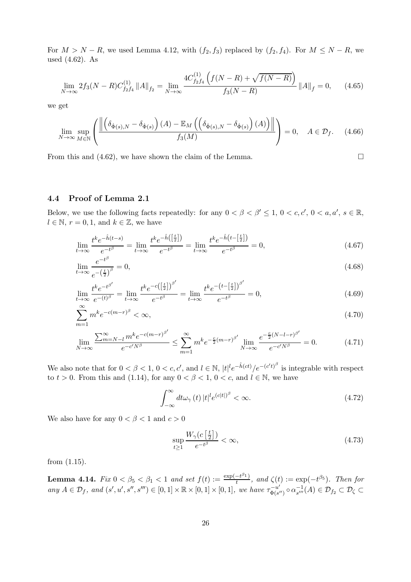For  $M > N - R$ , we used Lemma 4.12, with  $(f_2, f_3)$  replaced by  $(f_2, f_4)$ . For  $M \leq N - R$ , we used (4.62). As

$$
\lim_{N \to \infty} 2f_3(N - R)C_{f_2 f_4}^{(1)} \|A\|_{f_2} = \lim_{N \to \infty} \frac{4C_{f_2 f_4}^{(1)} \left(f(N - R) + \sqrt{f(N - R)}\right)}{f_3(N - R)} \|A\|_f = 0, \quad (4.65)
$$

we get

$$
\lim_{N \to \infty} \sup_{M \in \mathbb{N}} \left( \frac{\left\| \left( \delta_{\dot{\Phi}(s),N} - \delta_{\dot{\Phi}(s)} \right) (A) - \mathbb{E}_M \left( \left( \delta_{\dot{\Phi}(s),N} - \delta_{\dot{\Phi}(s)} \right) (A) \right) \right\|}{f_3(M)} \right) = 0, \quad A \in \mathcal{D}_f. \tag{4.66}
$$

From this and (4.62), we have shown the claim of the Lemma.  $\Box$ 

#### 4.4 Proof of Lemma 2.1

Below, we use the following facts repeatedly: for any  $0 < \beta < \beta' \leq 1$ ,  $0 < c, c', 0 < a, a', s \in \mathbb{R}$ ,  $l \in \mathbb{N}, r = 0, 1, \text{ and } k \in \mathbb{Z}, \text{ we have}$ 

$$
\lim_{t \to \infty} \frac{t^k e^{-\hat{h}(t-s)}}{e^{-t^\beta}} = \lim_{t \to \infty} \frac{t^k e^{-\hat{h}\left(\left[\frac{t}{2}\right]\right)}}{e^{-t^\beta}} = \lim_{t \to \infty} \frac{t^k e^{-\hat{h}\left(t - \left[\frac{t}{2}\right]\right)}}{e^{-t^\beta}} = 0,\tag{4.67}
$$

$$
\lim_{t \to \infty} \frac{e^{-t^{\beta}}}{e^{-\left(\frac{t}{2}\right)^{\beta}}} = 0,\tag{4.68}
$$

$$
\lim_{t \to \infty} \frac{t^k e^{-t^{\beta'}}}{e^{-(t)^{\beta}}} = \lim_{t \to \infty} \frac{t^k e^{-c(\left[\frac{t}{2}\right])^{\beta'}}}{e^{-t^{\beta}}} = \lim_{t \to \infty} \frac{t^k e^{-\left(t - \left[\frac{t}{2}\right]\right)^{\beta'}}}{e^{-t^{\beta}}} = 0,
$$
\n(4.69)

$$
\sum_{m=1}^{\infty} m^k e^{-c(m-r)^\beta} < \infty,\tag{4.70}
$$

$$
\lim_{N \to \infty} \frac{\sum_{m=N-l}^{\infty} m^k e^{-c(m-r)^{\beta'}}}{e^{-c'N^{\beta}}} \le \sum_{m=1}^{\infty} m^k e^{-\frac{c}{2}(m-r)^{\beta'}} \lim_{N \to \infty} \frac{e^{-\frac{c}{2}(N-l-r)^{\beta'}}}{e^{-c'N^{\beta}}} = 0.
$$
 (4.71)

We also note that for  $0 < \beta < 1$ ,  $0 < c, c'$ , and  $l \in \mathbb{N}$ ,  $|t|^l e^{-\hat{h}(ct)} / e^{-(c't)^{\beta}}$  is integrable with respect to  $t > 0$ . From this and (1.14), for any  $0 < \beta < 1$ ,  $0 < c$ , and  $l \in \mathbb{N}$ , we have

$$
\int_{-\infty}^{\infty} dt \omega_{\gamma}(t) |t|^{l} e^{(c|t|)^{\beta}} < \infty.
$$
 (4.72)

We also have for any  $0 < \beta < 1$  and  $c > 0$ 

$$
\sup_{t\geq 1} \frac{W_{\gamma}(c\left[\frac{t}{2}\right])}{e^{-t^{\beta}}} < \infty,\tag{4.73}
$$

from (1.15).

**Lemma 4.14.** Fix  $0 < \beta_5 < \beta_1 < 1$  and set  $f(t) := \frac{\exp(-t^{\beta_1})}{t}$  $\frac{-t^{\beta+1}}{t}$ , and  $\zeta(t) := \exp(-t^{\beta+1})$ . Then for any  $A \in \mathcal{D}_f$ , and  $(s', u', s'', s''') \in [0, 1] \times \mathbb{R} \times [0, 1] \times [0, 1]$ , we have  $\tau_{\Phi(s)}^{-u'}$  $\alpha_{s'''}^{-u'}$   $\circ$   $\alpha_{s'''}^{-1}$  $\mathcal{D}_{s'''}^{-1}(A) \in \mathcal{D}_{f_2} \subset \mathcal{D}_{\zeta} \subset$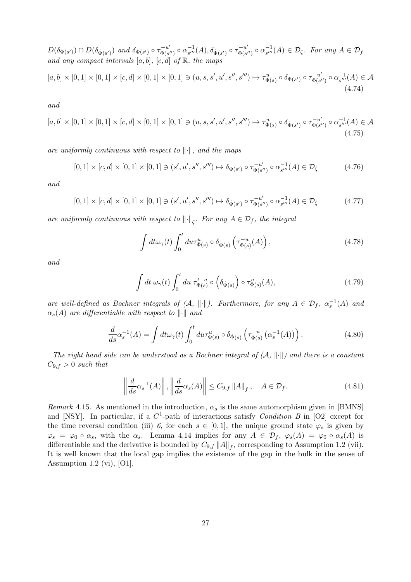$D(\delta_{\Phi(s')}) \cap D(\delta_{\dot{\Phi}(s')})$  and  $\delta_{\Phi(s')} \circ \tau_{\Phi(s')}^{-u'}$  $\alpha_{s'''}^{-u'}\circ\alpha_{s'''}^{-1}$  $\frac{-1}{s'''}(A), \delta_{\dot{\Phi}(s')} \circ \tau_{\Phi(s')}^{-u'}$  $\alpha_{s'''}^{-u'}\circ\alpha_{s'''}^{-1}$  $\sum_{s'''}^{-1}(A) \in \mathcal{D}_{\zeta}$ . For any  $A \in \mathcal{D}_{f}$ and any compact intervals  $[a, b]$ ,  $[c, d]$  of  $\mathbb{R}$ , the maps

$$
[a,b] \times [0,1] \times [0,1] \times [c,d] \times [0,1] \times [0,1] \ni (u,s,s',u',s'',s''') \mapsto \tau_{\Phi(s)}^u \circ \delta_{\Phi(s')} \circ \tau_{\Phi(s'')}^{-u'} \circ \alpha_{s'''}^{-1}(A) \in \mathcal{A}
$$
\n(4.74)

and

$$
[a,b] \times [0,1] \times [0,1] \times [c,d] \times [0,1] \times [0,1] \ni (u,s,s',u',s'',s''') \mapsto \tau_{\Phi(s)}^u \circ \delta_{\dot{\Phi}(s')} \circ \tau_{\Phi(s'')}^{-u'} \circ \alpha_{s'''}^{-1}(A) \in \mathcal{A}
$$
\n(4.75)

are uniformly continuous with respect to  $\lVert \cdot \rVert$ , and the maps

$$
[0,1] \times [c,d] \times [0,1] \times [0,1] \ni (s',u',s'',s''') \mapsto \delta_{\Phi(s')} \circ \tau_{\Phi(s'')}^{-u'} \circ \alpha_{s'''}^{-1}(A) \in \mathcal{D}_{\zeta}
$$
(4.76)

and

$$
[0,1] \times [c,d] \times [0,1] \times [0,1] \ni (s',u',s'',s''') \mapsto \delta_{\dot{\Phi}(s')} \circ \tau_{\Phi(s'')}^{-u'} \circ \alpha_{s'''}^{-1}(A) \in \mathcal{D}_{\zeta}
$$
(4.77)

are uniformly continuous with respect to  $\left\|\cdot\right\|_{\zeta}$ . For any  $A \in \mathcal{D}_f$ , the integral

$$
\int dt \omega_{\gamma}(t) \int_0^t du \tau_{\Phi(s)}^u \circ \delta_{\dot{\Phi}(s)} \left( \tau_{\Phi(s)}^{-u}(A) \right), \tag{4.78}
$$

and

$$
\int dt \,\,\omega_{\gamma}(t) \int_0^t du \,\,\tau_{\Phi(s)}^{t-u} \circ \left(\delta_{\dot{\Phi}(s)}\right) \circ \tau_{\Phi(s)}^u(A),\tag{4.79}
$$

are well-defined as Bochner integrals of  $(A, \|\cdot\|)$ . Furthermore, for any  $A \in \mathcal{D}_f$ ,  $\alpha_s^{-1}(A)$  and  $\alpha_s(A)$  are differentiable with respect to  $\lVert \cdot \rVert$  and

$$
\frac{d}{ds}\alpha_s^{-1}(A) = \int dt \omega_\gamma(t) \int_0^t du \tau_{\Phi(s)}^u \circ \delta_{\dot{\Phi}(s)} \left(\tau_{\Phi(s)}^{-u} \left(\alpha_s^{-1}(A)\right)\right). \tag{4.80}
$$

The right hand side can be understood as a Bochner integral of  $(A, \|\cdot\|)$  and there is a constant  $C_{9,f} > 0$  such that

$$
\left\| \frac{d}{ds} \alpha_s^{-1}(A) \right\|, \left\| \frac{d}{ds} \alpha_s(A) \right\| \le C_{9, f} \|A\|_f, \quad A \in \mathcal{D}_f. \tag{4.81}
$$

Remark 4.15. As mentioned in the introduction,  $\alpha_s$  is the same automorphism given in [BMNS] and [NSY]. In particular, if a  $C^1$ -path of interactions satisfy *Condition B* in [O2] except for the time reversal condition (iii) 6, for each  $s \in [0,1]$ , the unique ground state  $\varphi_s$  is given by  $\varphi_s = \varphi_0 \circ \alpha_s$ , with the  $\alpha_s$ . Lemma 4.14 implies for any  $A \in \mathcal{D}_f$ ,  $\varphi_s(A) = \varphi_0 \circ \alpha_s(A)$  is differentiable and the derivative is bounded by  $C_{9,f} ||A||_f$ , corresponding to Assumption 1.2 (vii). It is well known that the local gap implies the existence of the gap in the bulk in the sense of Assumption 1.2 (vi), [O1].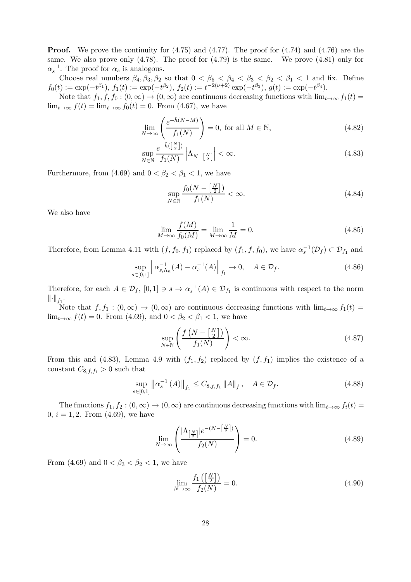**Proof.** We prove the continuity for  $(4.75)$  and  $(4.77)$ . The proof for  $(4.74)$  and  $(4.76)$  are the same. We also prove only (4.78). The proof for (4.79) is the same. We prove (4.81) only for  $\alpha_s^{-1}$ . The proof for  $\alpha_s$  is analogous.

Choose real numbers  $\beta_4, \beta_3, \beta_2$  so that  $0 < \beta_5 < \beta_4 < \beta_3 < \beta_2 < \beta_1 < 1$  and fix. Define  $f_0(t) := \exp(-t^{\beta_1}), f_1(t) := \exp(-t^{\beta_2}), f_2(t) := t^{-2(\nu+2)} \exp(-t^{\beta_3}), g(t) := \exp(-t^{\beta_4}).$ 

Note that  $f_1, f, f_0 : (0, \infty) \to (0, \infty)$  are continuous decreasing functions with  $\lim_{t\to\infty} f_1(t) =$  $\lim_{t\to\infty} f(t) = \lim_{t\to\infty} f_0(t) = 0$ . From (4.67), we have

$$
\lim_{N \to \infty} \left( \frac{e^{-\hat{h}(N-M)}}{f_1(N)} \right) = 0, \text{ for all } M \in \mathbb{N}, \tag{4.82}
$$

$$
\sup_{N \in \mathbb{N}} \frac{e^{-\hat{h}(\left[\frac{N}{2}\right])}}{f_1(N)} \left| \Lambda_{N-\left[\frac{N}{2}\right]} \right| < \infty. \tag{4.83}
$$

Furthermore, from (4.69) and  $0 < \beta_2 < \beta_1 < 1$ , we have

$$
\sup_{N \in \mathbb{N}} \frac{f_0(N - \left[\frac{N}{2}\right])}{f_1(N)} < \infty. \tag{4.84}
$$

We also have

$$
\lim_{M \to \infty} \frac{f(M)}{f_0(M)} = \lim_{M \to \infty} \frac{1}{M} = 0.
$$
\n(4.85)

Therefore, from Lemma 4.11 with  $(f, f_0, f_1)$  replaced by  $(f_1, f, f_0)$ , we have  $\alpha_s^{-1}(\mathcal{D}_f) \subset \mathcal{D}_{f_1}$  and

$$
\sup_{s \in [0,1]} \left\| \alpha_{s,\Lambda_n}^{-1}(A) - \alpha_s^{-1}(A) \right\|_{f_1} \to 0, \quad A \in \mathcal{D}_f.
$$
 (4.86)

Therefore, for each  $A \in \mathcal{D}_f$ ,  $[0,1] \ni s \to \alpha_s^{-1}(A) \in \mathcal{D}_{f_1}$  is continuous with respect to the norm  $\left\Vert \cdot\right\Vert _{f_{1}}.$ 

Note that  $f, f_1 : (0, \infty) \to (0, \infty)$  are continuous decreasing functions with  $\lim_{t\to\infty} f_1(t) =$  $\lim_{t\to\infty} f(t) = 0$ . From (4.69), and  $0 < \beta_2 < \beta_1 < 1$ , we have

$$
\sup_{N \in \mathbb{N}} \left( \frac{f\left(N - \left[\frac{N}{2}\right]\right)}{f_1(N)} \right) < \infty. \tag{4.87}
$$

From this and (4.83), Lemma 4.9 with  $(f_1, f_2)$  replaced by  $(f, f_1)$  implies the existence of a constant  $C_{8,f,f_1} > 0$  such that

$$
\sup_{s \in [0,1]} \left\| \alpha_s^{-1}(A) \right\|_{f_1} \le C_{8, f, f_1} \left\| A \right\|_f, \quad A \in \mathcal{D}_f. \tag{4.88}
$$

The functions  $f_1, f_2 : (0, \infty) \to (0, \infty)$  are continuous decreasing functions with  $\lim_{t\to\infty} f_i(t) =$ 0,  $i = 1, 2$ . From (4.69), we have

$$
\lim_{N \to \infty} \left( \frac{|\Lambda_{\left[\frac{N}{2}\right]}|e^{-(N-\left[\frac{N}{2}\right])}}{f_2(N)} \right) = 0. \tag{4.89}
$$

From (4.69) and  $0 < \beta_3 < \beta_2 < 1$ , we have

$$
\lim_{N \to \infty} \frac{f_1\left(\left[\frac{N}{2}\right]\right)}{f_2(N)} = 0. \tag{4.90}
$$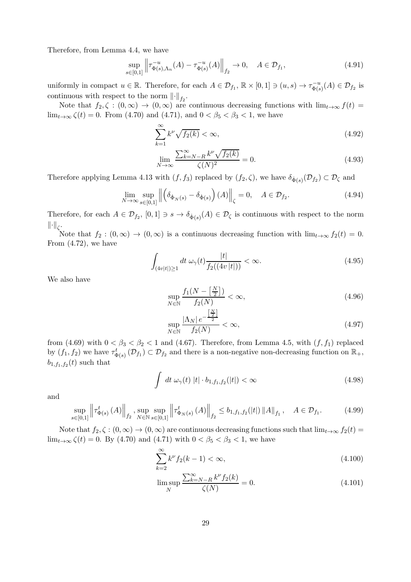Therefore, from Lemma 4.4, we have

$$
\sup_{s \in [0,1]} \left\| \tau_{\Phi(s),\Lambda_n}^{-u}(A) - \tau_{\Phi(s)}^{-u}(A) \right\|_{f_2} \to 0, \quad A \in \mathcal{D}_{f_1},\tag{4.91}
$$

uniformly in compact  $u \in \mathbb{R}$ . Therefore, for each  $A \in \mathcal{D}_{f_1}$ ,  $\mathbb{R} \times [0,1] \ni (u, s) \to \tau_{\Phi(s)}^{-u}$  $\mathcal{D}_{\Phi(s)}^{-u}(A) \in \mathcal{D}_{f_2}$  is continuous with respect to the norm  $\left\| \cdot \right\|_{f_2}$ .

Note that  $f_2, \zeta : (0,\infty) \to (0,\infty)$  are continuous decreasing functions with  $\lim_{t\to\infty} f(t) =$  $\lim_{t\to\infty} \zeta(t) = 0$ . From (4.70) and (4.71), and  $0 < \beta_5 < \beta_3 < 1$ , we have

$$
\sum_{k=1}^{\infty} k^{\nu} \sqrt{f_2(k)} < \infty,\tag{4.92}
$$

$$
\lim_{N \to \infty} \frac{\sum_{k=N-R}^{\infty} k^{\nu} \sqrt{f_2(k)}}{\zeta(N)^2} = 0.
$$
\n(4.93)

Therefore applying Lemma 4.13 with  $(f, f_3)$  replaced by  $(f_2, \zeta)$ , we have  $\delta_{\dot{\Phi}(s)}(\mathcal{D}_{f_2}) \subset \mathcal{D}_{\zeta}$  and

$$
\lim_{N \to \infty} \sup_{s \in [0,1]} \left\| \left( \delta_{\dot{\Phi}_N(s)} - \delta_{\dot{\Phi}(s)} \right) (A) \right\|_{\zeta} = 0, \quad A \in \mathcal{D}_{f_2}.
$$
\n(4.94)

Therefore, for each  $A \in \mathcal{D}_{f_2}$ ,  $[0,1] \ni s \to \delta_{\dot{\Phi}(s)}(A) \in \mathcal{D}_{\zeta}$  is continuous with respect to the norm  $\left\Vert \cdot \right\Vert_{\zeta}$ .

Note that  $f_2 : (0, \infty) \to (0, \infty)$  is a continuous decreasing function with  $\lim_{t\to\infty} f_2(t) = 0$ . From (4.72), we have

$$
\int_{(4v|t|)\geq 1} dt \,\omega_{\gamma}(t) \frac{|t|}{f_2((4v|t|))} < \infty. \tag{4.95}
$$

We also have

$$
\sup_{N \in \mathbb{N}} \frac{f_1(N - \left[\frac{N}{2}\right])}{f_2(N)} < \infty,\tag{4.96}
$$

$$
\sup_{N \in \mathbb{N}} \frac{|\Lambda_N| \, e^{-\frac{\left[\frac{N}{2}\right]}{2}}}{f_2(N)} < \infty,\tag{4.97}
$$

from (4.69) with  $0 < \beta_3 < \beta_2 < 1$  and (4.67). Therefore, from Lemma 4.5, with  $(f, f_1)$  replaced by  $(f_1, f_2)$  we have  $\tau^t_{\Phi(s)}(\mathcal{D}_{f_1}) \subset \mathcal{D}_{f_2}$  and there is a non-negative non-decreasing function on  $\mathbb{R}_+$ ,  $b_{1,f_1,f_2}(t)$  such that

$$
\int dt \,\omega_{\gamma}(t) \,|t| \cdot b_{1,f_1,f_2}(|t|) < \infty \tag{4.98}
$$

and

$$
\sup_{s \in [0,1]} \left\| \tau_{\Phi(s)}^t(A) \right\|_{f_2}, \sup_{N \in \mathbb{N}} \sup_{s \in [0,1]} \left\| \tau_{\Phi_N(s)}^t(A) \right\|_{f_2} \le b_{1,f_1,f_2}(|t|) \|A\|_{f_1}, \quad A \in \mathcal{D}_{f_1}.\tag{4.99}
$$

Note that  $f_2, \zeta : (0, \infty) \to (0, \infty)$  are continuous decreasing functions such that  $\lim_{t\to\infty} f_2(t) =$  $\lim_{t\to\infty} \zeta(t) = 0$ . By (4.70) and (4.71) with  $0 < \beta_5 < \beta_3 < 1$ , we have

$$
\sum_{k=2}^{\infty} k^{\nu} f_2(k-1) < \infty,\tag{4.100}
$$

$$
\limsup_{N} \frac{\sum_{k=N-R}^{\infty} k^{\nu} f_2(k)}{\zeta(N)} = 0.
$$
\n(4.101)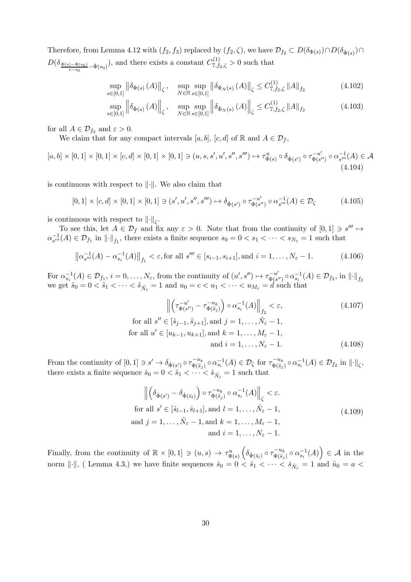Therefore, from Lemma 4.12 with  $(f_2, f_3)$  replaced by  $(f_2, \zeta)$ , we have  $\mathcal{D}_{f_2} \subset D(\delta_{\Phi(s)}) \cap D(\delta_{\dot{\Phi}(s)}) \cap$  $D(\delta_{\frac{\Phi(s)-\Phi(s_0)}{s-s_0}-\dot{\Phi}(s_0)})$ , and there exists a constant  $C_{7,f_2,\zeta}^{(1)} > 0$  such that

$$
\sup_{\in[0,1]} \left\| \delta_{\Phi(s)} \left( A \right) \right\|_{\zeta}, \quad \sup_{N \in \mathbb{N}} \sup_{s \in [0,1]} \left\| \delta_{\Phi_N(s)} \left( A \right) \right\|_{\zeta} \le C_{7, f_2, \zeta}^{(1)} \left\| A \right\|_{f_2} \tag{4.102}
$$

$$
\sup_{s \in [0,1]} \left\| \delta_{\dot{\Phi}(s)} \left( A \right) \right\|_{\zeta}, \quad \sup_{N \in \mathbb{N}} \sup_{s \in [0,1]} \left\| \delta_{\dot{\Phi}_N(s)} \left( A \right) \right\|_{\zeta} \le C_{7, f_2, \zeta}^{(1)} \left\| A \right\|_{f_2} \tag{4.103}
$$

for all  $A \in \mathcal{D}_{f_2}$  and  $\varepsilon > 0$ .

s∈[0,1]

We claim that for any compact intervals [a, b], [c, d] of R and  $A \in \mathcal{D}_f$ ,

 $[a,b] \times [0,1] \times [0,1] \times [c,d] \times [0,1] \times [0,1] \ni (u,s,s',u',s'',s''') \mapsto \tau_{\Phi(s)}^u \circ \delta_{\dot{\Phi}(s')} \circ \tau_{\Phi(s)}^{-u'}$  $\alpha_{s''}^{-u'}$   $\circ$   $\alpha_{s'''}^{-1}$  $\overline{s}^{\prime\prime\prime}(A)\in\mathcal{A}$ (4.104)

is continuous with respect to  $\lVert \cdot \rVert$ . We also claim that

$$
[0,1] \times [c,d] \times [0,1] \times [0,1] \ni (s',u',s'',s''') \mapsto \delta_{\dot{\Phi}(s')} \circ \tau_{\Phi(s'')}^{-u'} \circ \alpha_{s'''}^{-1}(A) \in \mathcal{D}_{\zeta}
$$
(4.105)

is continuous with respect to  $\left\|\cdot\right\|_{\zeta}$ .

To see this, let  $A \in \mathcal{D}_f$  and fix any  $\varepsilon > 0$ . Note that from the continuity of  $[0,1] \ni s''' \mapsto$  $\alpha_{\rm s'''}^{-1}$  $\mathcal{L}_{s''}^{-1}(A) \in \mathcal{D}_{f_1}$  in  $\lVert \cdot \rVert_{f_1}$ , there exists a finite sequence  $s_0 = 0 < s_1 < \cdots < s_{N_{\varepsilon}} = 1$  such that

$$
\left\| \alpha_{s'''}^{-1}(A) - \alpha_{s_i}^{-1}(A) \right\|_{f_1} < \varepsilon, \text{for all } s''' \in [s_{i-1}, s_{i+1}], \text{and } i = 1, \dots, N_{\varepsilon} - 1.
$$
 (4.106)

For  $\alpha_{s_i}^{-1}(A) \in \mathcal{D}_{f_1}, i = 0, \ldots, N_{\varepsilon}$ , from the continuity of  $(u', s'') \mapsto \tau_{\Phi(s'}^{-u'}$  $\sum_{\Phi(s'')}^{-u'} \circ \alpha_{s_i}^{-1}(A) \in \mathcal{D}_{f_2}$ , in  $\lVert \cdot \rVert_{f_2}$ we get  $\tilde{s}_0 = 0 < \tilde{s}_1 < \cdots < \tilde{s}_{\tilde{N}_{\varepsilon}} = 1$  and  $u_0 = c < u_1 < \cdots < u_{\tilde{N}_{\varepsilon}} = d$  such that

$$
\left\| \left( \tau_{\Phi(s'')}^{-u'} - \tau_{\Phi(\tilde{s}_j)}^{-u_k} \right) \circ \alpha_{s_i}^{-1}(A) \right\|_{f_2} < \varepsilon,
$$
\nfor all  $s'' \in [\tilde{s}_{j-1}, \tilde{s}_{j+1}],$  and  $j = 1, \ldots, \tilde{N}_{\varepsilon} - 1,$ 

\nfor all  $u' \in [u_{k-1}, u_{k+1}],$  and  $k = 1, \ldots, M_{\varepsilon} - 1,$ 

\nand  $i = 1, \ldots, N_{\varepsilon} - 1.$ 

\n(4.108)

From the continuity of  $[0,1] \ni s' \to \delta_{\dot{\Phi}(s')} \circ \tau_{\Phi(\tilde{s}_j)}^{-u_k}$  $\sigma_{\Phi(\tilde{s}_j)}^{-u_k} \circ \alpha_{s_i}^{-1}(A) \in \mathcal{D}_{\zeta}$  for  $\tau_{\Phi(\tilde{s}_j)}^{-u_k}$  $\overline{\Phi(\tilde{s}_j)}^{\alpha} \circ \alpha_{s_i}^{-1}(A) \in \mathcal{D}_{f_2}$  in  $\lVert \cdot \rVert_{\zeta}$ , there exists a finite sequence  $\hat{s}_0 = 0 < \hat{s}_1 < \cdots < \hat{s}_{\hat{N}_{\varepsilon}} = 1$  such that

$$
\left\| \left( \delta_{\dot{\Phi}(s')} - \delta_{\dot{\Phi}(\hat{s}_l)} \right) \circ \tau_{\Phi(\tilde{s}_j)}^{-u_k} \circ \alpha_{s_i}^{-1}(A) \right\|_{\zeta} < \varepsilon.
$$
  
for all  $s' \in [\hat{s}_{l-1}, \hat{s}_{l+1}],$  and  $l = 1, ..., \hat{N}_{\varepsilon} - 1$ ,  
and  $j = 1, ..., \tilde{N}_{\varepsilon} - 1$ , and  $k = 1, ..., M_{\varepsilon} - 1$ ,  
and  $i = 1, ..., N_{\varepsilon} - 1$ .  
(4.109)

Finally, from the continuity of  $\mathbb{R} \times [0,1] \ni (u,s) \to \tau_{\Phi(s)}^u \left( \delta_{\dot{\Phi}(\hat{s}_l)} \circ \tau_{\Phi(\tilde{s}_j)}^{-u_k} \right)$  $\big(\begin{smallmatrix} -u_k & \delta_{i} & 0 \ \Phi(\tilde{s}_j) & \Phi(s_i) & 0 \end{smallmatrix}\big) \in \mathcal{A}$  in the norm  $\|\cdot\|$ , ( Lemma 4.3,) we have finite sequences  $\check{s}_0 = 0 < \check{s}_1 < \cdots < \check{s}_{N_\varepsilon} = 1$  and  $\hat{u}_0 = a <$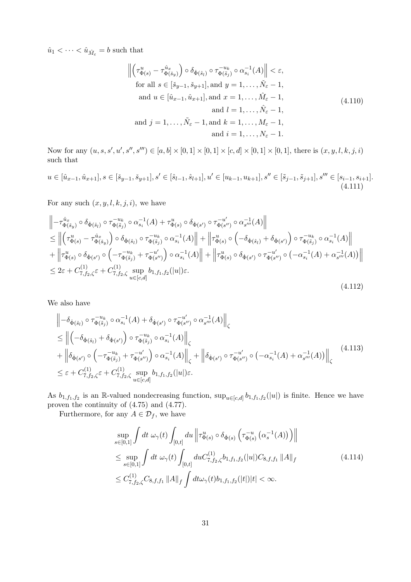$\hat{u}_1 < \cdots < \hat{u}_{\hat{M}_{\varepsilon}} = b$  such that

$$
\left\| \left( \tau_{\Phi(s)}^u - \tau_{\Phi(\tilde{s}_y)}^{\hat{u}_x} \right) \circ \delta_{\dot{\Phi}(\hat{s}_l)} \circ \tau_{\Phi(\tilde{s}_j)}^{-u_k} \circ \alpha_{s_i}^{-1}(A) \right\| < \varepsilon,
$$
  
for all  $s \in [\check{s}_{y-1}, \check{s}_{y+1}],$  and  $y = 1, ..., \check{N}_{\varepsilon} - 1$ ,  
and  $u \in [\hat{u}_{x-1}, \hat{u}_{x+1}],$  and  $x = 1, ..., \hat{M}_{\varepsilon} - 1$ ,  
and  $l = 1, ..., \hat{N}_{\varepsilon} - 1$ ,  
and  $j = 1, ..., \tilde{N}_{\varepsilon} - 1$ , and  $k = 1, ..., M_{\varepsilon} - 1$ ,  
and  $i = 1, ..., N_{\varepsilon} - 1$ .  
(4.110)

Now for any  $(u, s, s', u', s''', s'''') \in [a, b] \times [0, 1] \times [0, 1] \times [c, d] \times [0, 1] \times [0, 1]$ , there is  $(x, y, l, k, j, i)$ such that

$$
u \in [\hat{u}_{x-1}, \hat{u}_{x+1}], s \in [\check{s}_{y-1}, \check{s}_{y+1}], s' \in [\hat{s}_{l-1}, \hat{s}_{l+1}], u' \in [u_{k-1}, u_{k+1}], s'' \in [\check{s}_{j-1}, \tilde{s}_{j+1}], s''' \in [s_{i-1}, s_{i+1}].
$$
\n(4.111)

For any such  $(x, y, l, k, j, i)$ , we have

$$
\begin{split}\n&\left\| -\tau_{\Phi(\tilde{s}_{y})}^{\hat{u}_{x}} \circ \delta_{\dot{\Phi}(\hat{s}_{l})} \circ \tau_{\Phi(\tilde{s}_{j})}^{-u_{k}} \circ \alpha_{s_{i}}^{-1}(A) + \tau_{\Phi(s)}^{u} \circ \delta_{\dot{\Phi}(s')} \circ \tau_{\Phi(s'')}^{-u'} \circ \alpha_{s''}^{-1}(A) \right\| \\
&\leq \left\| \left( \tau_{\Phi(s)}^{u} - \tau_{\Phi(\tilde{s}_{y})}^{\hat{u}_{x}} \right) \circ \delta_{\dot{\Phi}(\hat{s}_{l})} \circ \tau_{\Phi(\tilde{s}_{j})}^{-u_{k}} \circ \alpha_{s_{i}}^{-1}(A) \right\| + \left\| \tau_{\Phi(s)}^{u} \circ \left( -\delta_{\dot{\Phi}(\hat{s}_{l})} + \delta_{\dot{\Phi}(s')} \right) \circ \tau_{\Phi(\tilde{s}_{j})}^{-u_{k}} \circ \alpha_{s_{i}}^{-1}(A) \right\| \\
&+ \left\| \tau_{\Phi(s)}^{u} \circ \delta_{\dot{\Phi}(s')} \circ \left( -\tau_{\Phi(\tilde{s}_{j})}^{-u_{k}} + \tau_{\Phi(s'')}^{-u'} \right) \circ \alpha_{s_{i}}^{-1}(A) \right\| + \left\| \tau_{\Phi(s)}^{u} \circ \delta_{\dot{\Phi}(s')} \circ \tau_{\Phi(s'')}^{-u'} \circ \left( -\alpha_{s_{i}}^{-1}(A) + \alpha_{s''}^{-1}(A) \right) \right\| \\
&\leq 2\varepsilon + C_{7, f_{2}, \zeta}^{(1)} \varepsilon + C_{7, f_{2}, \zeta}^{(1)} \sup_{u \in [c, d]} b_{1, f_{1}, f_{2}}(|u|) \varepsilon.\n\end{split} \tag{4.112}
$$

We also have

$$
\begin{split}\n&\left\| -\delta_{\dot{\Phi}(\hat{s}_{l})} \circ \tau_{\Phi(\tilde{s}_{j})}^{-u_{k}} \circ \alpha_{s_{i}}^{-1}(A) + \delta_{\dot{\Phi}(s')} \circ \tau_{\Phi(s'')}^{-u'} \circ \alpha_{s''}^{-1}(A) \right\|_{\zeta} \\
&\leq \left\| \left( -\delta_{\dot{\Phi}(\hat{s}_{l})} + \delta_{\dot{\Phi}(s')} \right) \circ \tau_{\Phi(\tilde{s}_{j})}^{-u_{k}} \circ \alpha_{s_{i}}^{-1}(A) \right\|_{\zeta} \\
&+ \left\| \delta_{\dot{\Phi}(s')} \circ \left( -\tau_{\Phi(\tilde{s}_{j})}^{-u_{k}} + \tau_{\Phi(s'')}^{-u'} \right) \circ \alpha_{s_{i}}^{-1}(A) \right\|_{\zeta} + \left\| \delta_{\dot{\Phi}(s')} \circ \tau_{\Phi(s'')}^{-u'} \circ \left( -\alpha_{s_{i}}^{-1}(A) + \alpha_{s''}^{-1}(A) \right) \right\|_{\zeta}\n\end{split} \tag{4.113}
$$
\n
$$
\leq \varepsilon + C_{7, f_{2}, \zeta}^{(1)} \varepsilon + C_{7, f_{2}, \zeta}^{(1)} \sup_{u \in [c, d]} b_{1, f_{1}, f_{2}}(|u|) \varepsilon.
$$

As  $b_{1,f_1,f_2}$  is an R-valued nondecreasing function,  $\sup_{u \in [c,d]} b_{1,f_1,f_2}(|u|)$  is finite. Hence we have proven the continuity of (4.75) and (4.77).

Furthermore, for any  $A \in \mathcal{D}_f$ , we have

$$
\sup_{s \in [0,1]} \int dt \, \omega_{\gamma}(t) \int_{[0,t]} du \, \left\| \tau_{\Phi(s)}^{u} \circ \delta_{\dot{\Phi}(s)} \left( \tau_{\Phi(s)}^{-u} \left( \alpha_{s}^{-1}(A) \right) \right) \right\|
$$
\n
$$
\leq \sup_{s \in [0,1]} \int dt \, \omega_{\gamma}(t) \int_{[0,t]} du C_{7,f_{2},\zeta}^{(1)} b_{1,f_{1},f_{2}}(|u|) C_{8,f,f_{1}} \|A\|_{f}
$$
\n
$$
\leq C_{7,f_{2},\zeta}^{(1)} C_{8,f,f_{1}} \|A\|_{f} \int dt \omega_{\gamma}(t) b_{1,f_{1},f_{2}}(|t|) |t| < \infty.
$$
\n(4.114)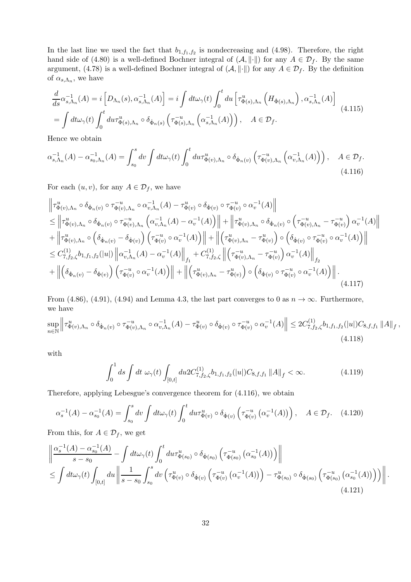In the last line we used the fact that  $b_{1,f_1,f_2}$  is nondecreasing and (4.98). Therefore, the right hand side of (4.80) is a well-defined Bochner integral of  $(A, \|\cdot\|)$  for any  $A \in \mathcal{D}_f$ . By the same argument, (4.78) is a well-defined Bochner integral of  $(A, \|\cdot\|)$  for any  $A \in \mathcal{D}_f$ . By the definition of  $\alpha_{s,\Lambda_n}$ , we have

$$
\frac{d}{ds}\alpha_{s,\Lambda_n}^{-1}(A) = i \left[ D_{\Lambda_n}(s), \alpha_{s,\Lambda_n}^{-1}(A) \right] = i \int dt \omega_\gamma(t) \int_0^t du \left[ \tau_{\Phi(s),\Lambda_n}^u \left( H_{\dot{\Phi}(s),\Lambda_n} \right), \alpha_{s,\Lambda_n}^{-1}(A) \right]
$$
\n
$$
= \int dt \omega_\gamma(t) \int_0^t du \tau_{\Phi(s),\Lambda_n}^u \circ \delta_{\dot{\Phi}_n(s)} \left( \tau_{\Phi(s),\Lambda_n}^{-u} \left( \alpha_{s,\Lambda_n}^{-1}(A) \right) \right), \quad A \in \mathcal{D}_f.
$$
\n(4.115)

Hence we obtain

$$
\alpha_{s,\Lambda_n}^{-1}(A) - \alpha_{s_0,\Lambda_n}^{-1}(A) = \int_{s_0}^s dv \int dt \omega_\gamma(t) \int_0^t du \tau_{\Phi(v),\Lambda_n}^u \circ \delta_{\dot{\Phi}_n(v)} \left( \tau_{\Phi(v),\Lambda_n}^{-u} \left( \alpha_{v,\Lambda_n}^{-1}(A) \right) \right), \quad A \in \mathcal{D}_f. \tag{4.116}
$$

For each  $(u, v)$ , for any  $A \in \mathcal{D}_f$ , we have

$$
\begin{split}\n\left\| \tau_{\Phi(v),\Lambda_{n}}^{u} \circ \delta_{\dot{\Phi}_{n}(v)} \circ \tau_{\Phi(v),\Lambda_{n}}^{-u} \circ \alpha_{v,\Lambda_{n}}^{-1}(A) - \tau_{\Phi(v)}^{u} \circ \delta_{\dot{\Phi}(v)} \circ \tau_{\Phi(v)}^{-u} \circ \alpha_{v}^{-1}(A) \right\| \\
&\leq \left\| \tau_{\Phi(v),\Lambda_{n}}^{u} \circ \delta_{\dot{\Phi}_{n}(v)} \circ \tau_{\Phi(v),\Lambda_{n}}^{-u} \left( \alpha_{v,\Lambda_{n}}^{-1}(A) - \alpha_{v}^{-1}(A) \right) \right\| + \left\| \tau_{\Phi(v),\Lambda_{n}}^{u} \circ \delta_{\dot{\Phi}_{n}(v)} \circ \left( \tau_{\Phi(v),\Lambda_{n}}^{-u} - \tau_{\Phi(v)}^{-u} \right) \alpha_{v}^{-1}(A) \right\| \\
&+ \left\| \tau_{\Phi(v),\Lambda_{n}}^{u} \circ \left( \delta_{\dot{\Phi}_{n}(v)} - \delta_{\dot{\Phi}(v)} \right) \left( \tau_{\Phi(v)}^{-u} \circ \alpha_{v}^{-1}(A) \right) \right\| + \left\| \left( \tau_{\Phi(v),\Lambda_{n}}^{u} - \tau_{\Phi(v)}^{u} \right) \circ \left( \delta_{\dot{\Phi}(v)} \circ \tau_{\Phi(v)}^{-u} \circ \alpha_{v}^{-1}(A) \right) \right\| \\
&\leq C_{7,f_{2},\zeta}^{(1)} b_{1,f_{1},f_{2}}(|u|) \left\| \alpha_{v,\Lambda_{n}}^{-1}(A) - \alpha_{v}^{-1}(A) \right\|_{f_{1}} + C_{7,f_{2},\zeta}^{(1)} \left\| \left( \tau_{\Phi(v),\Lambda_{n}}^{-u} - \tau_{\Phi(v)}^{-u} \right) \alpha_{v}^{-1}(A) \right\|_{f_{2}} \\
&+ \left\| \left( \delta_{\dot{\Phi}_{n}(v)} - \delta_{\dot{\Phi}(v)} \right) \left( \tau_{\Phi(v)}^{-u} \circ \alpha_{v}^{-1}(A) \right) \right\| + \left\| \left( \tau_{\Phi(v),\Lambda_{n}}^{u} - \tau_{\Phi(v)}^{u} \right) \circ \left( \delta_{\dot{\Phi}(v)} \circ \tau_{\Phi(v)}^{-u} \circ \alpha_{v}^{-1}(A) \right) \right\| \,
$$

From (4.86), (4.91), (4.94) and Lemma 4.3, the last part converges to 0 as  $n \to \infty$ . Furthermore, we have

$$
\sup_{n \in \mathbb{N}} \left\| \tau_{\Phi(v),\Lambda_n}^u \circ \delta_{\dot{\Phi}_n(v)} \circ \tau_{\Phi(v),\Lambda_n}^{-u} \circ \alpha_{v,\Lambda_n}^{-1}(A) - \tau_{\Phi(v)}^u \circ \delta_{\dot{\Phi}(v)} \circ \tau_{\Phi(v)}^{-u} \circ \alpha_v^{-1}(A) \right\| \leq 2C_{7,f_2,\zeta}^{(1)} b_{1,f_1,f_2}(|u|) C_{8,f,f_1} \|A\|_f ,\tag{4.118}
$$

with

$$
\int_0^1 ds \int dt \,\,\omega_\gamma(t) \int_{[0,t]} du 2C^{(1)}_{7,f_2,\zeta} b_{1,f_1,f_2}(|u|) C_{8,f,f_1} \|A\|_f < \infty. \tag{4.119}
$$

Therefore, applying Lebesgue's convergence theorem for (4.116), we obtain

$$
\alpha_s^{-1}(A) - \alpha_{s_0}^{-1}(A) = \int_{s_0}^s dv \int dt \omega_\gamma(t) \int_0^t du \tau_{\Phi(v)}^u \circ \delta_{\dot{\Phi}(v)} \left( \tau_{\Phi(v)}^{-u} \left( \alpha_v^{-1}(A) \right) \right), \quad A \in \mathcal{D}_f. \tag{4.120}
$$

From this, for  $A \in \mathcal{D}_f$ , we get

$$
\left\| \frac{\alpha_s^{-1}(A) - \alpha_{s_0}^{-1}(A)}{s - s_0} - \int dt \omega_\gamma(t) \int_0^t du \tau_{\Phi(s_0)}^u \circ \delta_{\dot{\Phi}(s_0)} \left( \tau_{\Phi(s_0)}^{-u} \left( \alpha_{s_0}^{-1}(A) \right) \right) \right\|
$$
  
\n
$$
\leq \int dt \omega_\gamma(t) \int_{[0,t]} du \left\| \frac{1}{s - s_0} \int_{s_0}^s dv \left( \tau_{\Phi(v)}^u \circ \delta_{\dot{\Phi}(v)} \left( \tau_{\Phi(v)}^{-u} \left( \alpha_v^{-1}(A) \right) \right) - \tau_{\Phi(s_0)}^u \circ \delta_{\dot{\Phi}(s_0)} \left( \tau_{\Phi(s_0)}^{-u} \left( \alpha_{s_0}^{-1}(A) \right) \right) \right) \right\|.
$$
\n(4.121)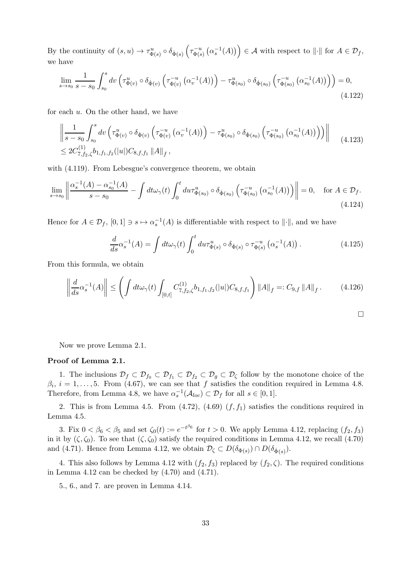By the continuity of  $(s, u) \to \tau_{\Phi(s)}^u \circ \delta_{\dot{\Phi}(s)} \left( \tau_{\Phi(s)}^{-u} \right)$  $\left( \begin{matrix} \alpha_s^{-1}(A) \\ \Phi(s) \end{matrix} \right) \in \mathcal{A}$  with respect to  $\left\| \cdot \right\|$  for  $A \in \mathcal{D}_f$ , we have

$$
\lim_{s \to s_0} \frac{1}{s - s_0} \int_{s_0}^s dv \left( \tau_{\Phi(v)}^u \circ \delta_{\dot{\Phi}(v)} \left( \tau_{\Phi(v)}^{-u} \left( \alpha_v^{-1}(A) \right) \right) - \tau_{\Phi(s_0)}^u \circ \delta_{\dot{\Phi}(s_0)} \left( \tau_{\Phi(s_0)}^{-u} \left( \alpha_{s_0}^{-1}(A) \right) \right) \right) = 0,
$$
\n(4.122)

for each u. On the other hand, we have

$$
\left\| \frac{1}{s - s_0} \int_{s_0}^s dv \left( \tau_{\Phi(v)}^u \circ \delta_{\dot{\Phi}(v)} \left( \tau_{\Phi(v)}^{-u} \left( \alpha_v^{-1}(A) \right) \right) - \tau_{\Phi(s_0)}^u \circ \delta_{\dot{\Phi}(s_0)} \left( \tau_{\Phi(s_0)}^{-u} \left( \alpha_{s_0}^{-1}(A) \right) \right) \right) \right\|
$$
\n
$$
\leq 2C_{7, f_2, \zeta}^{(1)} b_{1, f_1, f_2}(|u|) C_{8, f, f_1} \|A\|_f,
$$
\n(4.123)

with  $(4.119)$ . From Lebesgue's convergence theorem, we obtain

$$
\lim_{s \to s_0} \left\| \frac{\alpha_s^{-1}(A) - \alpha_{s_0}^{-1}(A)}{s - s_0} - \int dt \omega_\gamma(t) \int_0^t du \tau_{\Phi(s_0)}^u \circ \delta_{\dot{\Phi}(s_0)} \left( \tau_{\Phi(s_0)}^{-u} \left( \alpha_{s_0}^{-1}(A) \right) \right) \right\| = 0, \quad \text{for } A \in \mathcal{D}_f.
$$
\n(4.124)

Hence for  $A \in \mathcal{D}_f$ ,  $[0,1] \ni s \mapsto \alpha_s^{-1}(A)$  is differentiable with respect to  $\|\cdot\|$ , and we have

$$
\frac{d}{ds}\alpha_s^{-1}(A) = \int dt \omega_\gamma(t) \int_0^t du \tau_{\Phi(s)}^u \circ \delta_{\dot{\Phi}(s)} \circ \tau_{\Phi(s)}^{-u} \left(\alpha_s^{-1}(A)\right). \tag{4.125}
$$

From this formula, we obtain

$$
\left\| \frac{d}{ds} \alpha_s^{-1}(A) \right\| \le \left( \int dt \omega_\gamma(t) \int_{[0,t]} C^{(1)}_{7,f_2,\zeta} b_{1,f_1,f_2}(|u|) C_{8,f,f_1} \right) \|A\|_f =: C_{9,f} \|A\|_f. \tag{4.126}
$$

$$
\Box
$$

Now we prove Lemma 2.1.

#### Proof of Lemma 2.1.

1. The inclusions  $\mathcal{D}_f \subset \mathcal{D}_{f_0} \subset \mathcal{D}_{f_1} \subset \mathcal{D}_{f_2} \subset \mathcal{D}_{g} \subset \mathcal{D}_{\zeta}$  follow by the monotone choice of the  $\beta_i$ ,  $i = 1, \ldots, 5$ . From (4.67), we can see that f satisfies the condition required in Lemma 4.8. Therefore, from Lemma 4.8, we have  $\alpha_s^{-1}(\mathcal{A}_{loc}) \subset \mathcal{D}_f$  for all  $s \in [0,1]$ .

2. This is from Lemma 4.5. From  $(4.72)$ ,  $(4.69)$   $(f, f_1)$  satisfies the conditions required in Lemma 4.5.

3. Fix  $0 < \beta_6 < \beta_5$  and set  $\zeta_0(t) := e^{-t^{\beta_6}}$  for  $t > 0$ . We apply Lemma 4.12, replacing  $(f_2, f_3)$ in it by  $(\zeta, \zeta_0)$ . To see that  $(\zeta, \zeta_0)$  satisfy the required conditions in Lemma 4.12, we recall (4.70) and (4.71). Hence from Lemma 4.12, we obtain  $\mathcal{D}_{\zeta} \subset D(\delta_{\Phi(s)}) \cap D(\delta_{\dot{\Phi}(s)})$ .

4. This also follows by Lemma 4.12 with  $(f_2, f_3)$  replaced by  $(f_2, \zeta)$ . The required conditions in Lemma 4.12 can be checked by  $(4.70)$  and  $(4.71)$ .

5., 6., and 7. are proven in Lemma 4.14.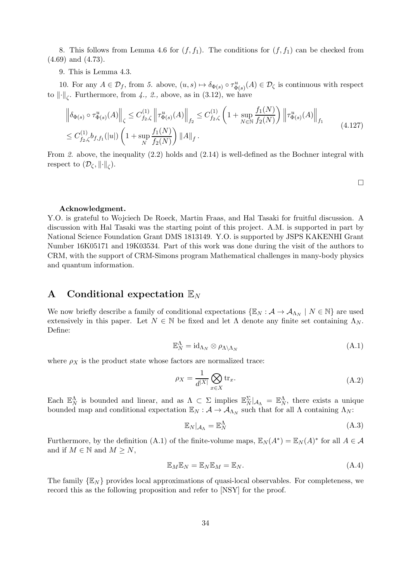8. This follows from Lemma 4.6 for  $(f, f_1)$ . The conditions for  $(f, f_1)$  can be checked from (4.69) and (4.73).

9. This is Lemma 4.3.

10. For any  $A \in \mathcal{D}_f$ , from 5. above,  $(u, s) \mapsto \delta_{\Phi(s)} \circ \tau_{\Phi(s)}^u(A) \in \mathcal{D}_\zeta$  is continuous with respect to  $\lVert \cdot \rVert_{\zeta}$ . Furthermore, from 4., 2., above, as in (3.12), we have

$$
\left\| \delta_{\Phi(s)} \circ \tau_{\Phi(s)}^{u}(A) \right\|_{\zeta} \leq C_{f_2,\zeta}^{(1)} \left\| \tau_{\Phi(s)}^{u}(A) \right\|_{f_2} \leq C_{f_2,\zeta}^{(1)} \left( 1 + \sup_{N \in \mathbb{N}} \frac{f_1(N)}{f_2(N)} \right) \left\| \tau_{\Phi(s)}^{u}(A) \right\|_{f_1}
$$
  

$$
\leq C_{f_2,\zeta}^{(1)} b_{f,f_1}(|u|) \left( 1 + \sup_{N} \frac{f_1(N)}{f_2(N)} \right) \|A\|_{f}. \tag{4.127}
$$

From 2. above, the inequality (2.2) holds and (2.14) is well-defined as the Bochner integral with respect to  $(\mathcal{D}_{\zeta}, \left\Vert \cdot \right\Vert_{\zeta}).$ 

 $\Box$ 

#### Acknowledgment.

Y.O. is grateful to Wojciech De Roeck, Martin Fraas, and Hal Tasaki for fruitful discussion. A discussion with Hal Tasaki was the starting point of this project. A.M. is supported in part by National Science Foundation Grant DMS 1813149. Y.O. is supported by JSPS KAKENHI Grant Number 16K05171 and 19K03534. Part of this work was done during the visit of the authors to CRM, with the support of CRM-Simons program Mathematical challenges in many-body physics and quantum information.

### A Conditional expectation  $\mathbb{E}_N$

We now briefly describe a family of conditional expectations  $\{\mathbb{E}_N : A \to A_{\Lambda_N} \mid N \in \mathbb{N}\}$  are used extensively in this paper. Let  $N \in \mathbb{N}$  be fixed and let  $\Lambda$  denote any finite set containing  $\Lambda_N$ . Define:

$$
\mathbb{E}_N^{\Lambda} = \mathrm{id}_{\Lambda_N} \otimes \rho_{\Lambda \setminus \Lambda_N} \tag{A.1}
$$

where  $\rho_X$  is the product state whose factors are normalized trace:

$$
\rho_X = \frac{1}{d^{|X|}} \bigotimes_{x \in X} \text{tr}_x. \tag{A.2}
$$

Each  $\mathbb{E}_N^{\Lambda}$  is bounded and linear, and as  $\Lambda \subset \Sigma$  implies  $\mathbb{E}_N^{\Sigma} |_{\mathcal{A}_{\Lambda}} = \mathbb{E}_N^{\Lambda}$ , there exists a unique bounded map and conditional expectation  $\mathbb{E}_N$  :  $\mathcal{A} \to \mathcal{A}_{\Lambda_N}$  such that for all  $\Lambda$  containing  $\Lambda_N$ :

$$
\mathbb{E}_N|_{\mathcal{A}_\Lambda} = \mathbb{E}_N^\Lambda \tag{A.3}
$$

Furthermore, by the definition (A.1) of the finite-volume maps,  $\mathbb{E}_N(A^*) = \mathbb{E}_N(A)^*$  for all  $A \in \mathcal{A}$ and if  $M \in \mathbb{N}$  and  $M \geq N$ ,

$$
\mathbb{E}_M \mathbb{E}_N = \mathbb{E}_N \mathbb{E}_M = \mathbb{E}_N. \tag{A.4}
$$

The family  $\{\mathbb{E}_N\}$  provides local approximations of quasi-local observables. For completeness, we record this as the following proposition and refer to [NSY] for the proof.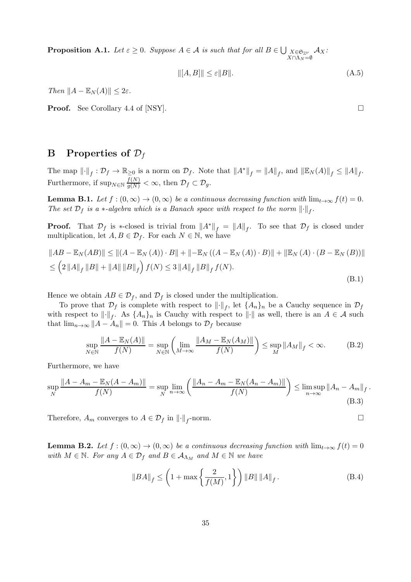**Proposition A.1.** Let  $\varepsilon \ge 0$ . Suppose  $A \in \mathcal{A}$  is such that for all  $B \in \bigcup_{X \in \mathfrak{S}_{\mathbb{Z}^{\nu}}}$  $\frac{X\in \mathfrak{S}_{\mathbb{Z}^\nu}}{X\cap \Lambda_N=\emptyset}\mathcal{A}_X$ :

$$
\| [A, B] \| \le \varepsilon \| B \|.
$$
\n(A.5)

Then  $||A - \mathbb{E}_N(A)|| \leq 2\varepsilon$ .

Proof. See Corollary 4.4 of [NSY]. □

### **B** Properties of  $\mathcal{D}_f$

The map  $\lVert \cdot \rVert_f : \mathcal{D}_f \to \mathbb{R}_{\geq 0}$  is a norm on  $\mathcal{D}_f$ . Note that  $\lVert A^* \rVert_f = \lVert A \rVert_f$ , and  $\lVert \mathbb{E}_N(A) \rVert_f \leq \lVert A \rVert_f$ . Furthermore, if  $\sup_{N \in \mathbb{N}} \frac{f(N)}{g(N)} < \infty$ , then  $\mathcal{D}_f \subset \mathcal{D}_g$ .

**Lemma B.1.** Let  $f : (0, \infty) \to (0, \infty)$  be a continuous decreasing function with  $\lim_{t\to\infty} f(t) = 0$ . The set  $\mathcal{D}_f$  is a  $*$ -algebra which is a Banach space with respect to the norm  $\lVert \cdot \rVert_f$ .

**Proof.** That  $\mathcal{D}_f$  is ∗-closed is trivial from  $||A^*||_f = ||A||_f$ . To see that  $\mathcal{D}_f$  is closed under multiplication, let  $A, B \in \mathcal{D}_f$ . For each  $N \in \mathbb{N}$ , we have

$$
||AB - \mathbb{E}_N(AB)|| \le ||(A - \mathbb{E}_N(A)) \cdot B|| + ||-\mathbb{E}_N((A - \mathbb{E}_N(A)) \cdot B)|| + ||\mathbb{E}_N(A) \cdot (B - \mathbb{E}_N(B))||
$$
  
\n
$$
\le (2||A||_f ||B|| + ||A|| ||B||_f) f(N) \le 3||A||_f ||B||_f f(N).
$$
\n(B.1)

Hence we obtain  $AB \in \mathcal{D}_f$ , and  $\mathcal{D}_f$  is closed under the multiplication.

To prove that  $\mathcal{D}_f$  is complete with respect to  $\lVert \cdot \rVert_f$ , let  $\{A_n\}_n$  be a Cauchy sequence in  $\mathcal{D}_f$ with respect to  $\|\cdot\|_f$ . As  $\{A_n\}_n$  is Cauchy with respect to  $\|\cdot\|$  as well, there is an  $A \in \mathcal{A}$  such that  $\lim_{n\to\infty}||A-A_n||=0$ . This A belongs to  $\mathcal{D}_f$  because

$$
\sup_{N \in \mathbb{N}} \frac{\|A - \mathbb{E}_N(A)\|}{f(N)} = \sup_{N \in \mathbb{N}} \left( \lim_{M \to \infty} \frac{\|A_M - \mathbb{E}_N(A_M)\|}{f(N)} \right) \le \sup_M \|A_M\|_f < \infty.
$$
 (B.2)

Furthermore, we have

$$
\sup_{N} \frac{\|A - A_m - \mathbb{E}_N(A - A_m)\|}{f(N)} = \sup_{N} \lim_{n \to \infty} \left( \frac{\|A_n - A_m - \mathbb{E}_N(A_n - A_m)\|}{f(N)} \right) \le \limsup_{n \to \infty} \|A_n - A_m\|_f.
$$
\n(B.3)

Therefore,  $A_m$  converges to  $A \in \mathcal{D}_f$  in  $\lVert \cdot \rVert_f$ -norm.

**Lemma B.2.** Let  $f:(0,\infty) \to (0,\infty)$  be a continuous decreasing function with  $\lim_{t\to\infty} f(t) = 0$ with  $M \in \mathbb{N}$ . For any  $A \in \mathcal{D}_f$  and  $B \in \mathcal{A}_{\Lambda_M}$  and  $M \in \mathbb{N}$  we have

$$
||BA||_f \le \left(1 + \max\left\{\frac{2}{f(M)}, 1\right\}\right) ||B|| ||A||_f. \tag{B.4}
$$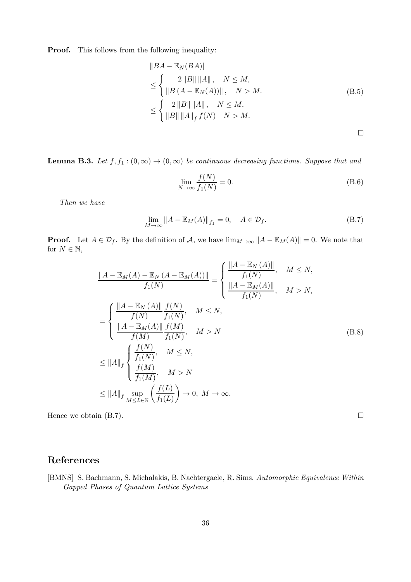**Proof.** This follows from the following inequality:

$$
||BA - \mathbb{E}_N(BA)||
$$
  
\n
$$
\leq \begin{cases} 2 ||B|| ||A||, & N \leq M, \\ ||B(A - \mathbb{E}_N(A))||, & N > M. \end{cases}
$$
  
\n
$$
\leq \begin{cases} 2 ||B|| ||A||, & N \leq M, \\ ||B|| ||A||_f f(N) & N > M. \end{cases}
$$
 (B.5)

**Lemma B.3.** Let  $f, f_1 : (0, \infty) \to (0, \infty)$  be continuous decreasing functions. Suppose that and

$$
\lim_{N \to \infty} \frac{f(N)}{f_1(N)} = 0.
$$
\n(B.6)

Then we have

$$
\lim_{M \to \infty} \|A - \mathbb{E}_M(A)\|_{f_1} = 0, \quad A \in \mathcal{D}_f.
$$
\n(B.7)

**Proof.** Let  $A \in \mathcal{D}_f$ . By the definition of A, we have  $\lim_{M \to \infty} ||A - \mathbb{E}_M(A)|| = 0$ . We note that for  $N \in \mathbb{N}$ ,

$$
\frac{\|A - \mathbb{E}_M(A) - \mathbb{E}_N(A - \mathbb{E}_M(A))\|}{f_1(N)} = \begin{cases} \frac{\|A - \mathbb{E}_N(A)\|}{f_1(N)}, & M \le N, \\ \frac{\|A - \mathbb{E}_M(A)\|}{f_1(N)}, & M > N, \end{cases}
$$
  
\n
$$
= \begin{cases} \frac{\|A - \mathbb{E}_N(A)\|}{f(N)} \frac{f(N)}{f_1(N)}, & M \le N, \\ \frac{\|A - \mathbb{E}_M(A)\|}{f(M)} \frac{f(M)}{f_1(N)}, & M > N \\ \frac{\|A\|}{f_1(N)}, & M > N \\ \frac{f(M)}{f_1(M)}, & M > N \end{cases}
$$
 (B.8)  
\n
$$
\le \|A\|_f \begin{cases} \frac{f(N)}{f_1(M)}, & M > N \\ \frac{f(M)}{f_1(M)}, & M > N \\ M \le L \in \mathbb{N} \end{cases}
$$

Hence we obtain (B.7).  $\Box$ 

# References

[BMNS] S. Bachmann, S. Michalakis, B. Nachtergaele, R. Sims. Automorphic Equivalence Within Gapped Phases of Quantum Lattice Systems